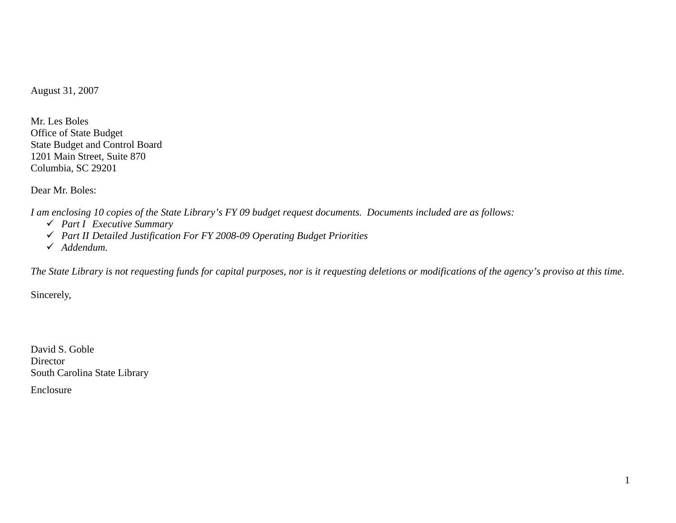August 31, 2007

Mr. Les Boles Office of State Budget State Budget and Control Board 1201 Main Street, Suite 870 Columbia, SC 29201

Dear Mr. Boles:

*I am enclosing 10 copies of the State Library's FY 09 budget request documents. Documents included are as follows:* 

- 9 *Part I Executive Summary*
- 9 *Part II Detailed Justification For FY 2008-09 Operating Budget Priorities*
- 9 *Addendum.*

*The State Library is not requesting funds for capital purposes, nor is it requesting deletions or modifications of the agency's proviso at this time.* 

Sincerely,

David S. Goble Director South Carolina State Library

Enclosure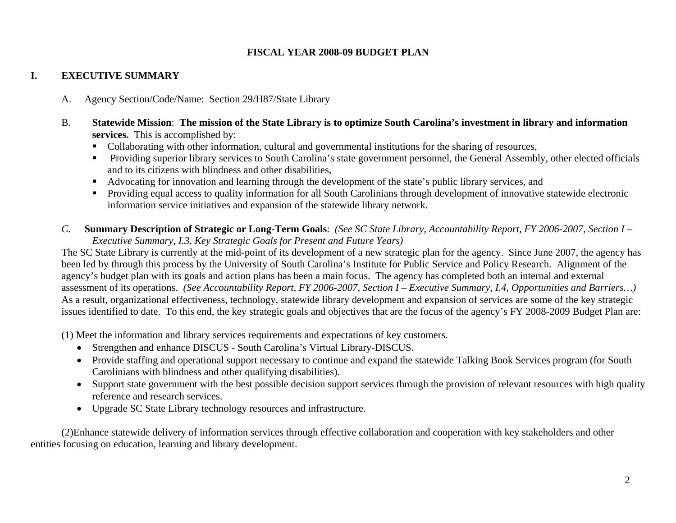## **FISCAL YEAR 2008-09 BUDGET PLAN**

# **I. EXECUTIVE SUMMARY**

- A. Agency Section/Code/Name: Section 29/H87/State Library
- B. **Statewide Mission**: **The mission of the State Library is to optimize South Carolina's investment in library and information services.** This is accomplished by:
	- Collaborating with other information, cultural and governmental institutions for the sharing of resources,
	- **Providing superior library services to South Carolina's state government personnel, the General Assembly, other elected officials** and to its citizens with blindness and other disabilities,
	- Advocating for innovation and learning through the development of the state's public library services, and
	- Providing equal access to quality information for all South Carolinians through development of innovative statewide electronic information service initiatives and expansion of the statewide library network.
- *C.* **Summary Description of Strategic or Long-Term Goals**: *(See SC State Library, Accountability Report, FY 2006-2007, Section I Executive Summary, I.3, Key Strategic Goals for Present and Future Years)*

The SC State Library is currently at the mid-point of its development of a new strategic plan for the agency. Since June 2007, the agency has been led by through this process by the University of South Carolina's Institute for Public Service and Policy Research. Alignment of the agency's budget plan with its goals and action plans has been a main focus. The agency has completed both an internal and external assessment of its operations. *(See Accountability Report, FY 2006-2007, Section I – Executive Summary, I.4, Opportunities and Barriers…)*  As a result, organizational effectiveness, technology, statewide library development and expansion of services are some of the key strategic issues identified to date. To this end, the key strategic goals and objectives that are the focus of the agency's FY 2008-2009 Budget Plan are:

(1) Meet the information and library services requirements and expectations of key customers.

- Strengthen and enhance DISCUS South Carolina's Virtual Library-DISCUS.
- Provide staffing and operational support necessary to continue and expand the statewide Talking Book Services program (for South Carolinians with blindness and other qualifying disabilities).
- Support state government with the best possible decision support services through the provision of relevant resources with high quality reference and research services.
- Upgrade SC State Library technology resources and infrastructure.

 (2)Enhance statewide delivery of information services through effective collaboration and cooperation with key stakeholders and other entities focusing on education, learning and library development.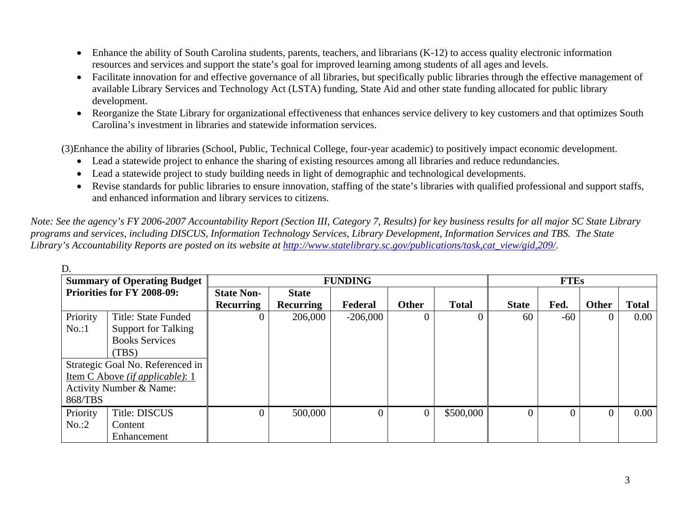- Enhance the ability of South Carolina students, parents, teachers, and librarians (K-12) to access quality electronic information resources and services and support the state's goal for improved learning among students of all ages and levels.
- Facilitate innovation for and effective governance of all libraries, but specifically public libraries through the effective management of available Library Services and Technology Act (LSTA) funding, State Aid and other state funding allocated for public library development.
- Reorganize the State Library for organizational effectiveness that enhances service delivery to key customers and that optimizes South Carolina's investment in libraries and statewide information services.

(3)Enhance the ability of libraries (School, Public, Technical College, four-year academic) to positively impact economic development.

- Lead a statewide project to enhance the sharing of existing resources among all libraries and reduce redundancies.
- Lead a statewide project to study building needs in light of demographic and technological developments.
- Revise standards for public libraries to ensure innovation, staffing of the state's libraries with qualified professional and support staffs, and enhanced information and library services to citizens.

*Note: See the agency's FY 2006-2007 Accountability Report (Section III, Category 7, Results) for key business results for all major SC State Library programs and services, including DISCUS, Information Technology Services, Library Development, Information Services and TBS. The State Library's Accountability Reports are posted on its website at http://www.statelibrary.sc.gov/publications/task,cat\_view/gid,209/.* 

|          | <b>Summary of Operating Budget</b>     |                   | <b>FUNDING</b>   |            |              |              |              | <b>FTEs</b> |              |              |  |
|----------|----------------------------------------|-------------------|------------------|------------|--------------|--------------|--------------|-------------|--------------|--------------|--|
|          | <b>Priorities for FY 2008-09:</b>      | <b>State Non-</b> | <b>State</b>     |            |              |              |              |             |              |              |  |
|          |                                        | <b>Recurring</b>  | <b>Recurring</b> | Federal    | <b>Other</b> | <b>Total</b> | <b>State</b> | Fed.        | <b>Other</b> | <b>Total</b> |  |
| Priority | Title: State Funded                    |                   | 206,000          | $-206,000$ | $\Omega$     | 0            | 60           | -60         |              | $0.00\,$     |  |
| No.1     | <b>Support for Talking</b>             |                   |                  |            |              |              |              |             |              |              |  |
|          | <b>Books Services</b>                  |                   |                  |            |              |              |              |             |              |              |  |
|          | (TBS)                                  |                   |                  |            |              |              |              |             |              |              |  |
|          | Strategic Goal No. Referenced in       |                   |                  |            |              |              |              |             |              |              |  |
|          | <u>Item C Above (if applicable): 1</u> |                   |                  |            |              |              |              |             |              |              |  |
|          | <b>Activity Number &amp; Name:</b>     |                   |                  |            |              |              |              |             |              |              |  |
| 868/TBS  |                                        |                   |                  |            |              |              |              |             |              |              |  |
| Priority | <b>Title: DISCUS</b>                   |                   | 500,000          | 0          | $\Omega$     | \$500,000    |              | $\theta$    |              | 0.00         |  |
| No. : 2  | Content                                |                   |                  |            |              |              |              |             |              |              |  |
|          | Enhancement                            |                   |                  |            |              |              |              |             |              |              |  |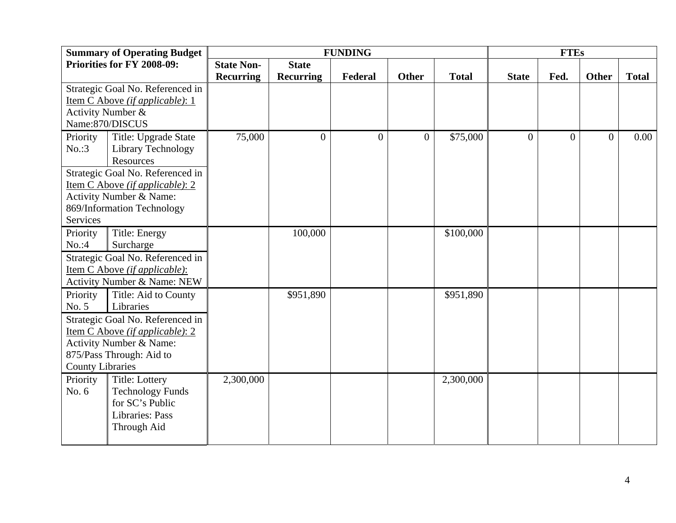|                         | <b>Summary of Operating Budget</b>     |                   |                  | <b>FUNDING</b><br><b>FTEs</b> |                |              |              |                |          |              |
|-------------------------|----------------------------------------|-------------------|------------------|-------------------------------|----------------|--------------|--------------|----------------|----------|--------------|
|                         | Priorities for FY 2008-09:             | <b>State Non-</b> | <b>State</b>     |                               |                |              |              |                |          |              |
|                         |                                        | <b>Recurring</b>  | <b>Recurring</b> | Federal                       | <b>Other</b>   | <b>Total</b> | <b>State</b> | Fed.           | Other    | <b>Total</b> |
|                         | Strategic Goal No. Referenced in       |                   |                  |                               |                |              |              |                |          |              |
|                         | Item C Above (if applicable): 1        |                   |                  |                               |                |              |              |                |          |              |
| Activity Number &       |                                        |                   |                  |                               |                |              |              |                |          |              |
|                         | Name:870/DISCUS                        |                   |                  |                               |                |              |              |                |          |              |
| Priority                | Title: Upgrade State                   | 75,000            | $\Omega$         | $\overline{0}$                | $\overline{0}$ | \$75,000     | $\theta$     | $\overline{0}$ | $\Omega$ | 0.00         |
| No. : 3                 | Library Technology                     |                   |                  |                               |                |              |              |                |          |              |
|                         | Resources                              |                   |                  |                               |                |              |              |                |          |              |
|                         | Strategic Goal No. Referenced in       |                   |                  |                               |                |              |              |                |          |              |
|                         | <u>Item C Above (if applicable): 2</u> |                   |                  |                               |                |              |              |                |          |              |
|                         | Activity Number & Name:                |                   |                  |                               |                |              |              |                |          |              |
|                         | 869/Information Technology             |                   |                  |                               |                |              |              |                |          |              |
| Services                |                                        |                   |                  |                               |                |              |              |                |          |              |
| Priority                | Title: Energy                          |                   | 100,000          |                               |                | \$100,000    |              |                |          |              |
| No. : 4                 | Surcharge                              |                   |                  |                               |                |              |              |                |          |              |
|                         | Strategic Goal No. Referenced in       |                   |                  |                               |                |              |              |                |          |              |
|                         | <u>Item C Above (if applicable):</u>   |                   |                  |                               |                |              |              |                |          |              |
|                         | Activity Number & Name: NEW            |                   |                  |                               |                |              |              |                |          |              |
| Priority                | Title: Aid to County                   |                   | \$951,890        |                               |                | \$951,890    |              |                |          |              |
| No. 5                   | Libraries                              |                   |                  |                               |                |              |              |                |          |              |
|                         | Strategic Goal No. Referenced in       |                   |                  |                               |                |              |              |                |          |              |
|                         | Item C Above (if applicable): 2        |                   |                  |                               |                |              |              |                |          |              |
|                         | Activity Number & Name:                |                   |                  |                               |                |              |              |                |          |              |
|                         | 875/Pass Through: Aid to               |                   |                  |                               |                |              |              |                |          |              |
| <b>County Libraries</b> |                                        |                   |                  |                               |                |              |              |                |          |              |
| Priority                | <b>Title: Lottery</b>                  | 2,300,000         |                  |                               |                | 2,300,000    |              |                |          |              |
| No. $6$                 | <b>Technology Funds</b>                |                   |                  |                               |                |              |              |                |          |              |
|                         | for SC's Public                        |                   |                  |                               |                |              |              |                |          |              |
|                         | Libraries: Pass                        |                   |                  |                               |                |              |              |                |          |              |
|                         | Through Aid                            |                   |                  |                               |                |              |              |                |          |              |
|                         |                                        |                   |                  |                               |                |              |              |                |          |              |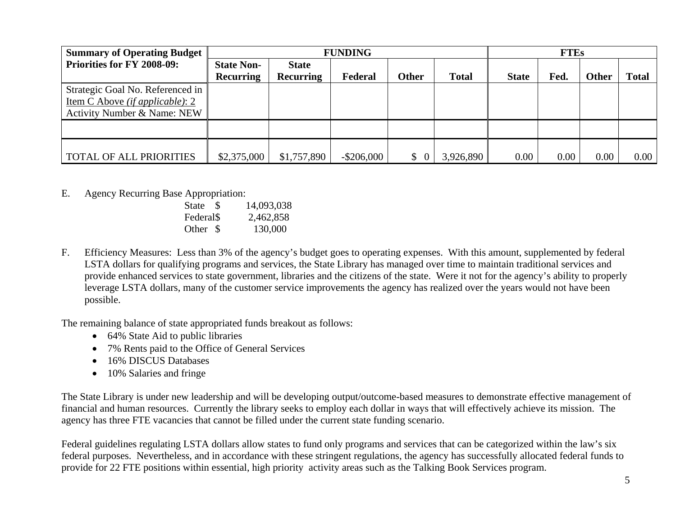| <b>Summary of Operating Budget</b>      |                   | <b>FUNDING</b>   |               |              |              |              | <b>FTEs</b> |              |              |  |
|-----------------------------------------|-------------------|------------------|---------------|--------------|--------------|--------------|-------------|--------------|--------------|--|
| <b>Priorities for FY 2008-09:</b>       | <b>State Non-</b> | <b>State</b>     |               |              |              |              |             |              |              |  |
|                                         | <b>Recurring</b>  | <b>Recurring</b> | Federal       | Other        | <b>Total</b> | <b>State</b> | Fed.        | <b>Other</b> | <b>Total</b> |  |
| Strategic Goal No. Referenced in        |                   |                  |               |              |              |              |             |              |              |  |
| Item C Above <i>(if applicable)</i> : 2 |                   |                  |               |              |              |              |             |              |              |  |
| <b>Activity Number &amp; Name: NEW</b>  |                   |                  |               |              |              |              |             |              |              |  |
|                                         |                   |                  |               |              |              |              |             |              |              |  |
|                                         |                   |                  |               |              |              |              |             |              |              |  |
|                                         |                   |                  |               |              |              |              |             |              |              |  |
| TOTAL OF ALL PRIORITIES                 | \$2,375,000       | \$1,757,890      | $-$ \$206,000 | $\mathbb{S}$ | 3,926,890    | 0.00         | 0.00        | 0.00         | $0.00\,$     |  |

 E.Agency Recurring Base Appropriation:

| State<br>- S          | 14,093,038 |
|-----------------------|------------|
| Federal <sub>\$</sub> | 2,462,858  |
| Other \$              | 130,000    |

F. Efficiency Measures: Less than 3% of the agency's budget goes to operating expenses. With this amount, supplemented by federal LSTA dollars for qualifying programs and services, the State Library has managed over time to maintain traditional services and provide enhanced services to state government, libraries and the citizens of the state. Were it not for the agency's ability to properly leverage LSTA dollars, many of the customer service improvements the agency has realized over the years would not have been possible.

The remaining balance of state appropriated funds breakout as follows:

- 64% State Aid to public libraries
- 7% Rents paid to the Office of General Services
- 16% DISCUS Databases
- 10% Salaries and fringe

The State Library is under new leadership and will be developing output/outcome-based measures to demonstrate effective management of financial and human resources. Currently the library seeks to employ each dollar in ways that will effectively achieve its mission. The agency has three FTE vacancies that cannot be filled under the current state funding scenario.

Federal guidelines regulating LSTA dollars allow states to fund only programs and services that can be categorized within the law's six federal purposes. Nevertheless, and in accordance with these stringent regulations, the agency has successfully allocated federal funds to provide for 22 FTE positions within essential, high priority activity areas such as the Talking Book Services program.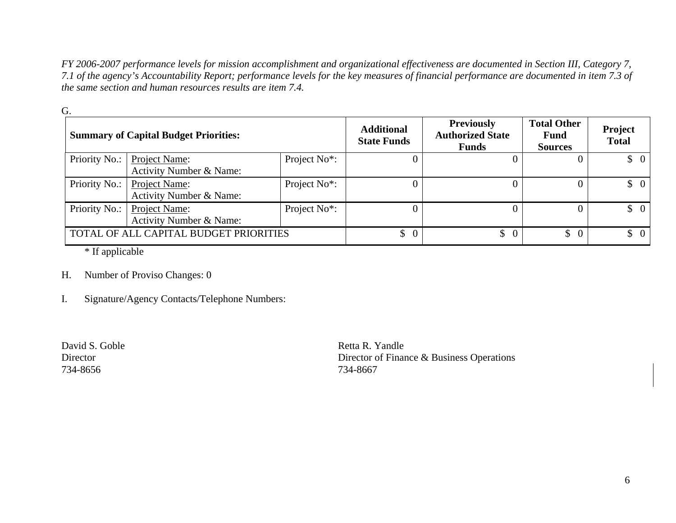*FY 2006-2007 performance levels for mission accomplishment and organizational effectiveness are documented in Section III, Category 7, 7.1 of the agency's Accountability Report; performance levels for the key measures of financial performance are documented in item 7.3 of the same section and human resources results are item 7.4.* 

|               | <b>Summary of Capital Budget Priorities:</b>        |                          | <b>Additional</b><br><b>State Funds</b> | <b>Previously</b><br><b>Authorized State</b><br><b>Funds</b> | <b>Total Other</b><br><b>Fund</b><br><b>Sources</b> | Project<br><b>Total</b>         |
|---------------|-----------------------------------------------------|--------------------------|-----------------------------------------|--------------------------------------------------------------|-----------------------------------------------------|---------------------------------|
| Priority No.: | Project Name:<br><b>Activity Number &amp; Name:</b> | Project No <sup>*:</sup> |                                         |                                                              |                                                     | $\updownarrow$ 0                |
| Priority No.: | Project Name:<br>Activity Number & Name:            | Project No*:             |                                         |                                                              |                                                     | $\begin{matrix} 0 \end{matrix}$ |
| Priority No.: | Project Name:<br>Activity Number & Name:            | Project No*:             |                                         |                                                              |                                                     | $\begin{matrix} 0 \end{matrix}$ |
|               | TOTAL OF ALL CAPITAL BUDGET PRIORITIES              |                          | $\begin{matrix} 0 \end{matrix}$         | $\frac{1}{2}$                                                | $\mathbb{S}$<br>$\overline{0}$                      | $\uparrow$ 0                    |

\* If applicable

- H. Number of Proviso Changes: 0
- I. Signature/Agency Contacts/Telephone Numbers:

734-8656 734-8667

David S. Goble **Retta R. Yandle** Director Director Director of Finance & Business Operations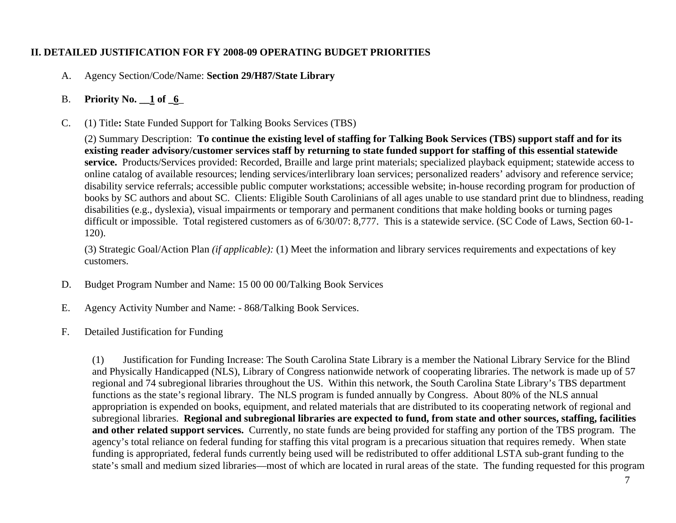# **II. DETAILED JUSTIFICATION FOR FY 2008-09 OPERATING BUDGET PRIORITIES**

- A. Agency Section/Code/Name: **Section 29/H87/State Library**
- B. **Priority No. \_\_1 of \_6**\_
- C. (1) Title**:** State Funded Support for Talking Books Services (TBS)

(2) Summary Description: **To continue the existing level of staffing for Talking Book Services (TBS) support staff and for its existing reader advisory/customer services staff by returning to state funded support for staffing of this essential statewide service.** Products/Services provided: Recorded, Braille and large print materials; specialized playback equipment; statewide access to online catalog of available resources; lending services/interlibrary loan services; personalized readers' advisory and reference service; disability service referrals; accessible public computer workstations; accessible website; in-house recording program for production of books by SC authors and about SC. Clients: Eligible South Carolinians of all ages unable to use standard print due to blindness, reading disabilities (e.g., dyslexia), visual impairments or temporary and permanent conditions that make holding books or turning pages difficult or impossible. Total registered customers as of 6/30/07: 8,777. This is a statewide service. (SC Code of Laws, Section 60-1- 120).

(3) Strategic Goal/Action Plan *(if applicable):* (1) Meet the information and library services requirements and expectations of key customers.

- D. Budget Program Number and Name: 15 00 00 00/Talking Book Services
- E. Agency Activity Number and Name: 868/Talking Book Services.
- F. Detailed Justification for Funding

(1) Justification for Funding Increase: The South Carolina State Library is a member the National Library Service for the Blind and Physically Handicapped (NLS), Library of Congress nationwide network of cooperating libraries. The network is made up of 57 regional and 74 subregional libraries throughout the US. Within this network, the South Carolina State Library's TBS department functions as the state's regional library. The NLS program is funded annually by Congress. About 80% of the NLS annual appropriation is expended on books, equipment, and related materials that are distributed to its cooperating network of regional and subregional libraries. **Regional and subregional libraries are expected to fund, from state and other sources, staffing, facilities and other related support services.** Currently, no state funds are being provided for staffing any portion of the TBS program. The agency's total reliance on federal funding for staffing this vital program is a precarious situation that requires remedy. When state funding is appropriated, federal funds currently being used will be redistributed to offer additional LSTA sub-grant funding to the state's small and medium sized libraries—most of which are located in rural areas of the state. The funding requested for this program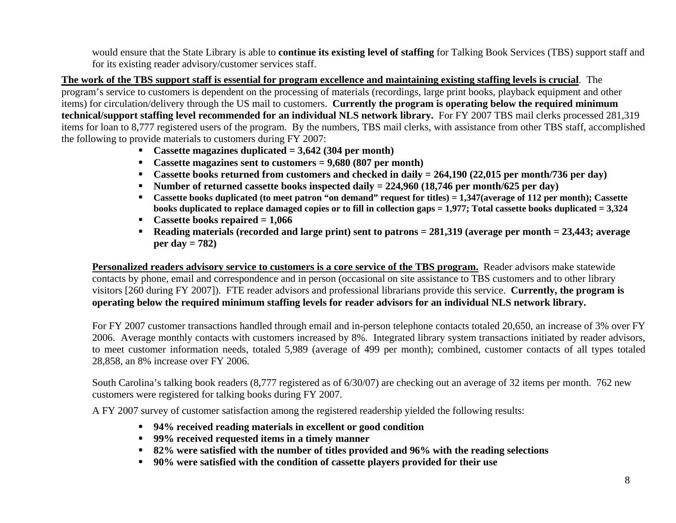would ensure that the State Library is able to **continue its existing level of staffing** for Talking Book Services (TBS) support staff and for its existing reader advisory/customer services staff.

**The work of the TBS support staff is essential for program excellence and maintaining existing staffing levels is crucial**. The program's service to customers is dependent on the processing of materials (recordings, large print books, playback equipment and other items) for circulation/delivery through the US mail to customers. **Currently the program is operating below the required minimum technical/support staffing level recommended for an individual NLS network library.** For FY 2007 TBS mail clerks processed 281,319 items for loan to 8,777 registered users of the program. By the numbers, TBS mail clerks, with assistance from other TBS staff, accomplished the following to provide materials to customers during FY 2007:

- **Cassette magazines duplicated = 3,642 (304 per month)**
- **Cassette magazines sent to customers = 9,680 (807 per month)**
- **Cassette books returned from customers and checked in daily = 264,190 (22,015 per month/736 per day)**
- **Number of returned cassette books inspected daily = 224,960 (18,746 per month/625 per day)**
- **Cassette books duplicated (to meet patron "on demand" request for titles) = 1,347(average of 112 per month); Cassette books duplicated to replace damaged copies or to fill in collection gaps = 1,977; Total cassette books duplicated = 3,324**
- **Cassette books repaired = 1,066**
- **Reading materials (recorded and large print) sent to patrons = 281,319 (average per month = 23,443; average per day = 782)**

**Personalized readers advisory service to customers is a core service of the TBS program.** Reader advisors make statewide contacts by phone, email and correspondence and in person (occasional on site assistance to TBS customers and to other library visitors [260 during FY 2007]). FTE reader advisors and professional librarians provide this service. **Currently, the program is operating below the required minimum staffing levels for reader advisors for an individual NLS network library.**

For FY 2007 customer transactions handled through email and in-person telephone contacts totaled 20,650, an increase of 3% over FY 2006. Average monthly contacts with customers increased by 8%. Integrated library system transactions initiated by reader advisors, to meet customer information needs, totaled 5,989 (average of 499 per month); combined, customer contacts of all types totaled 28,858, an 8% increase over FY 2006.

South Carolina's talking book readers (8,777 registered as of 6/30/07) are checking out an average of 32 items per month. 762 new customers were registered for talking books during FY 2007.

A FY 2007 survey of customer satisfaction among the registered readership yielded the following results:

- **94% received reading materials in excellent or good condition**
- **99% received requested items in a timely manner**
- **82% were satisfied with the number of titles provided and 96% with the reading selections**
- **90% were satisfied with the condition of cassette players provided for their use**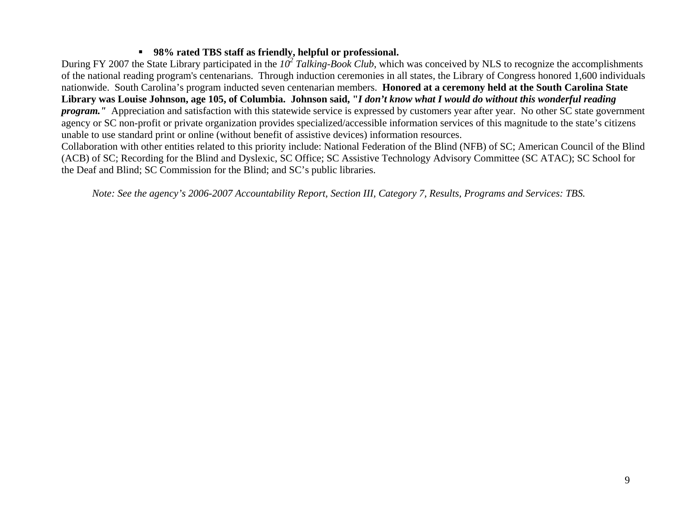## **98% rated TBS staff as friendly, helpful or professional.**

During FY 2007 the State Library participated in the *102 Talking-Book Club*, which was conceived by NLS to recognize the accomplishments of the national reading program's centenarians. Through induction ceremonies in all states, the Library of Congress honored 1,600 individuals nationwide. South Carolina's program inducted seven centenarian members. **Honored at a ceremony held at the South Carolina State Library was Louise Johnson, age 105, of Columbia. Johnson said, "***I don't know what I would do without this wonderful reading program.* "Appreciation and satisfaction with this statewide service is expressed by customers year after year. No other SC state government agency or SC non-profit or private organization provides specialized/accessible information services of this magnitude to the state's citizens unable to use standard print or online (without benefit of assistive devices) information resources.

Collaboration with other entities related to this priority include: National Federation of the Blind (NFB) of SC; American Council of the Blind (ACB) of SC; Recording for the Blind and Dyslexic, SC Office; SC Assistive Technology Advisory Committee (SC ATAC); SC School for the Deaf and Blind; SC Commission for the Blind; and SC's public libraries.

*Note: See the agency's 2006-2007 Accountability Report, Section III, Category 7, Results, Programs and Services: TBS.*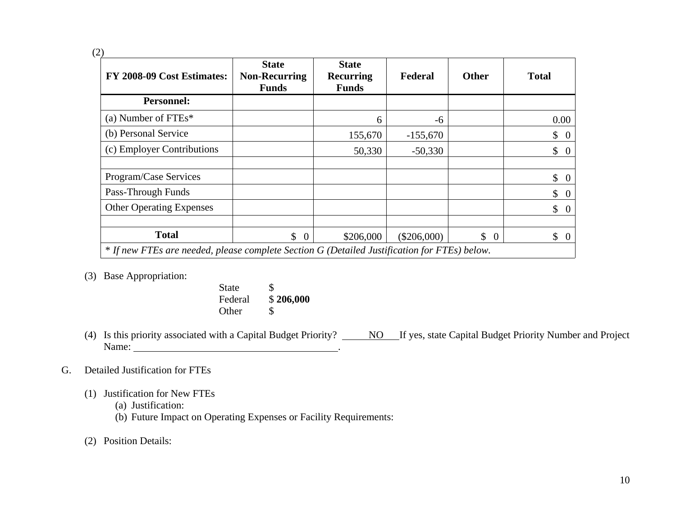(2)

| FY 2008-09 Cost Estimates:      | <b>State</b><br><b>Non-Recurring</b><br><b>Funds</b>                                         | <b>State</b><br><b>Recurring</b><br><b>Funds</b> | Federal       | <b>Other</b>                   | <b>Total</b>                    |  |  |  |
|---------------------------------|----------------------------------------------------------------------------------------------|--------------------------------------------------|---------------|--------------------------------|---------------------------------|--|--|--|
| <b>Personnel:</b>               |                                                                                              |                                                  |               |                                |                                 |  |  |  |
| (a) Number of $FTEs^*$          |                                                                                              | 6                                                | -6            |                                | 0.00                            |  |  |  |
| (b) Personal Service            |                                                                                              | 155,670                                          | $-155,670$    |                                | $\mathsf{\$}$<br>$\overline{0}$ |  |  |  |
| (c) Employer Contributions      |                                                                                              | 50,330                                           | $-50,330$     |                                | $\mathsf{\$}$<br>$\overline{0}$ |  |  |  |
|                                 |                                                                                              |                                                  |               |                                |                                 |  |  |  |
| Program/Case Services           |                                                                                              |                                                  |               |                                | \$<br>$\overline{0}$            |  |  |  |
| Pass-Through Funds              |                                                                                              |                                                  |               |                                | \$<br>$\overline{0}$            |  |  |  |
| <b>Other Operating Expenses</b> |                                                                                              |                                                  |               |                                | $\mathbb{S}$<br>$\overline{0}$  |  |  |  |
|                                 |                                                                                              |                                                  |               |                                |                                 |  |  |  |
| <b>Total</b>                    | $\mathbb{S}$<br>$\overline{0}$                                                               | \$206,000                                        | $(\$206,000)$ | $\mathbb{S}$<br>$\overline{0}$ | $\mathbb{S}$<br>$\overline{0}$  |  |  |  |
|                                 | * If new FTEs are needed, please complete Section G (Detailed Justification for FTEs) below. |                                                  |               |                                |                                 |  |  |  |

- (3) Base Appropriation:
- State \$ Federal \$ **206,000** Other \$
- (4) Is this priority associated with a Capital Budget Priority? No If yes, state Capital Budget Priority Number and Project Name:  $\blacksquare$

# G. Detailed Justification for FTEs

- (1) Justification for New FTEs
	- (a) Justification:
	- (b) Future Impact on Operating Expenses or Facility Requirements:
- (2) Position Details: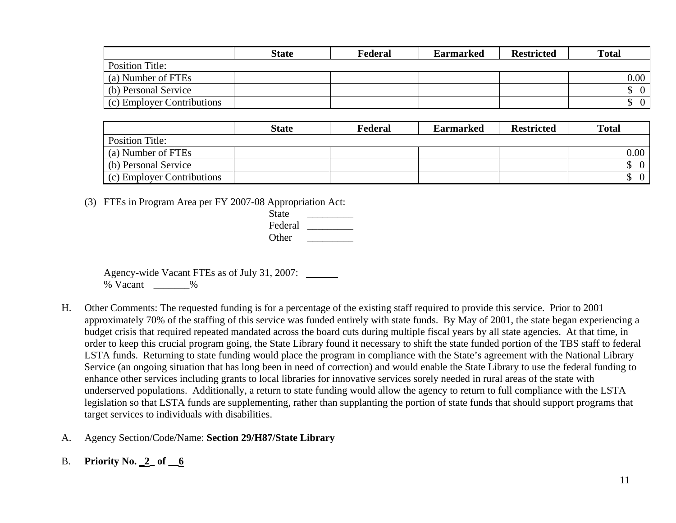|                            | <b>State</b> | Federal | <b>Earmarked</b> | <b>Restricted</b> | <b>Total</b> |
|----------------------------|--------------|---------|------------------|-------------------|--------------|
| Position Title:            |              |         |                  |                   |              |
| (a) Number of FTEs         |              |         |                  |                   | $0.00\,$     |
| (b) Personal Service       |              |         |                  |                   |              |
| (c) Employer Contributions |              |         |                  |                   |              |

|                            | <b>State</b> | Federal | <b>Earmarked</b> | <b>Restricted</b> | <b>Total</b> |
|----------------------------|--------------|---------|------------------|-------------------|--------------|
| <b>Position Title:</b>     |              |         |                  |                   |              |
| (a) Number of FTEs         |              |         |                  |                   | $0.00\,$     |
| (b) Personal Service       |              |         |                  |                   | $\Omega$     |
| (c) Employer Contributions |              |         |                  |                   | $\Omega$     |

(3) FTEs in Program Area per FY 2007-08 Appropriation Act:

| <b>State</b> |
|--------------|
| Federal      |
| Other        |

 Agency-wide Vacant FTEs as of July 31, 2007: % Vacant \_\_\_\_\_\_\_%

- H. Other Comments: The requested funding is for a percentage of the existing staff required to provide this service. Prior to 2001 approximately 70% of the staffing of this service was funded entirely with state funds. By May of 2001, the state began experiencing a budget crisis that required repeated mandated across the board cuts during multiple fiscal years by all state agencies. At that time, in order to keep this crucial program going, the State Library found it necessary to shift the state funded portion of the TBS staff to federal LSTA funds. Returning to state funding would place the program in compliance with the State's agreement with the National Library Service (an ongoing situation that has long been in need of correction) and would enable the State Library to use the federal funding to enhance other services including grants to local libraries for innovative services sorely needed in rural areas of the state with underserved populations. Additionally, a return to state funding would allow the agency to return to full compliance with the LSTA legislation so that LSTA funds are supplementing, rather than supplanting the portion of state funds that should support programs that target services to individuals with disabilities.
- A. Agency Section/Code/Name: **Section 29/H87/State Library**
- B. **Priority No. \_2\_ of \_\_6**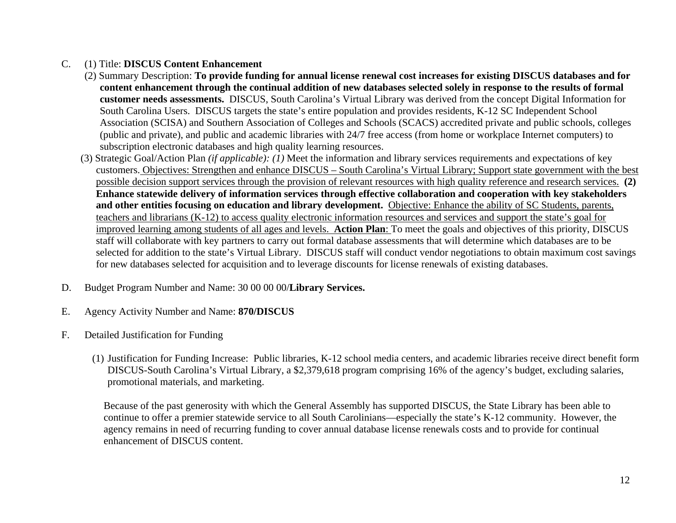## C. (1) Title: **DISCUS Content Enhancement**

- (2) Summary Description: **To provide funding for annual license renewal cost increases for existing DISCUS databases and for content enhancement through the continual addition of new databases selected solely in response to the results of formal customer needs assessments.** DISCUS, South Carolina's Virtual Library was derived from the concept Digital Information for South Carolina Users. DISCUS targets the state's entire population and provides residents, K-12 SC Independent School Association (SCISA) and Southern Association of Colleges and Schools (SCACS) accredited private and public schools, colleges (public and private), and public and academic libraries with 24/7 free access (from home or workplace Internet computers) to subscription electronic databases and high quality learning resources.
- (3) Strategic Goal/Action Plan *(if applicable): (1)* Meet the information and library services requirements and expectations of key customers. Objectives: Strengthen and enhance DISCUS – South Carolina's Virtual Library; Support state government with the best possible decision support services through the provision of relevant resources with high quality reference and research services. **(2) Enhance statewide delivery of information services through effective collaboration and cooperation with key stakeholders and other entities focusing on education and library development.** Objective: Enhance the ability of SC Students, parents, teachers and librarians (K-12) to access quality electronic information resources and services and support the state's goal for improved learning among students of all ages and levels. **Action Plan**: To meet the goals and objectives of this priority, DISCUS staff will collaborate with key partners to carry out formal database assessments that will determine which databases are to be selected for addition to the state's Virtual Library. DISCUS staff will conduct vendor negotiations to obtain maximum cost savings for new databases selected for acquisition and to leverage discounts for license renewals of existing databases.
- D. Budget Program Number and Name: 30 00 00 00/**Library Services.**
- E. Agency Activity Number and Name: **870/DISCUS**
- F. Detailed Justification for Funding
	- (1) Justification for Funding Increase: Public libraries, K-12 school media centers, and academic libraries receive direct benefit form DISCUS-South Carolina's Virtual Library, a \$2,379,618 program comprising 16% of the agency's budget, excluding salaries, promotional materials, and marketing.

Because of the past generosity with which the General Assembly has supported DISCUS, the State Library has been able to continue to offer a premier statewide service to all South Carolinians—especially the state's K-12 community. However, the agency remains in need of recurring funding to cover annual database license renewals costs and to provide for continual enhancement of DISCUS content.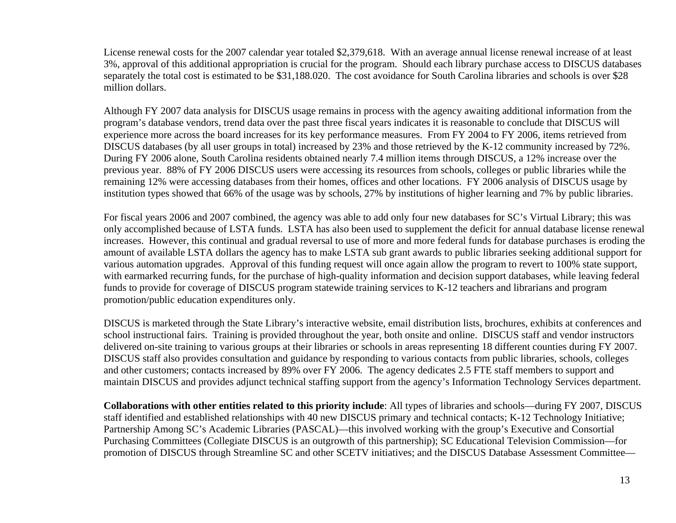License renewal costs for the 2007 calendar year totaled \$2,379,618. With an average annual license renewal increase of at least 3%, approval of this additional appropriation is crucial for the program. Should each library purchase access to DISCUS databases separately the total cost is estimated to be \$31,188.020. The cost avoidance for South Carolina libraries and schools is over \$28 million dollars.

Although FY 2007 data analysis for DISCUS usage remains in process with the agency awaiting additional information from the program's database vendors, trend data over the past three fiscal years indicates it is reasonable to conclude that DISCUS will experience more across the board increases for its key performance measures. From FY 2004 to FY 2006, items retrieved from DISCUS databases (by all user groups in total) increased by 23% and those retrieved by the K-12 community increased by 72%. During FY 2006 alone, South Carolina residents obtained nearly 7.4 million items through DISCUS, a 12% increase over the previous year. 88% of FY 2006 DISCUS users were accessing its resources from schools, colleges or public libraries while the remaining 12% were accessing databases from their homes, offices and other locations. FY 2006 analysis of DISCUS usage by institution types showed that 66% of the usage was by schools, 27% by institutions of higher learning and 7% by public libraries.

For fiscal years 2006 and 2007 combined, the agency was able to add only four new databases for SC's Virtual Library; this was only accomplished because of LSTA funds. LSTA has also been used to supplement the deficit for annual database license renewal increases. However, this continual and gradual reversal to use of more and more federal funds for database purchases is eroding the amount of available LSTA dollars the agency has to make LSTA sub grant awards to public libraries seeking additional support for various automation upgrades. Approval of this funding request will once again allow the program to revert to 100% state support, with earmarked recurring funds, for the purchase of high-quality information and decision support databases, while leaving federal funds to provide for coverage of DISCUS program statewide training services to K-12 teachers and librarians and program promotion/public education expenditures only.

DISCUS is marketed through the State Library's interactive website, email distribution lists, brochures, exhibits at conferences and school instructional fairs. Training is provided throughout the year, both onsite and online. DISCUS staff and vendor instructors delivered on-site training to various groups at their libraries or schools in areas representing 18 different counties during FY 2007. DISCUS staff also provides consultation and guidance by responding to various contacts from public libraries, schools, colleges and other customers; contacts increased by 89% over FY 2006. The agency dedicates 2.5 FTE staff members to support and maintain DISCUS and provides adjunct technical staffing support from the agency's Information Technology Services department.

**Collaborations with other entities related to this priority include**: All types of libraries and schools—during FY 2007, DISCUS staff identified and established relationships with 40 new DISCUS primary and technical contacts; K-12 Technology Initiative; Partnership Among SC's Academic Libraries (PASCAL)—this involved working with the group's Executive and Consortial Purchasing Committees (Collegiate DISCUS is an outgrowth of this partnership); SC Educational Television Commission—for promotion of DISCUS through Streamline SC and other SCETV initiatives; and the DISCUS Database Assessment Committee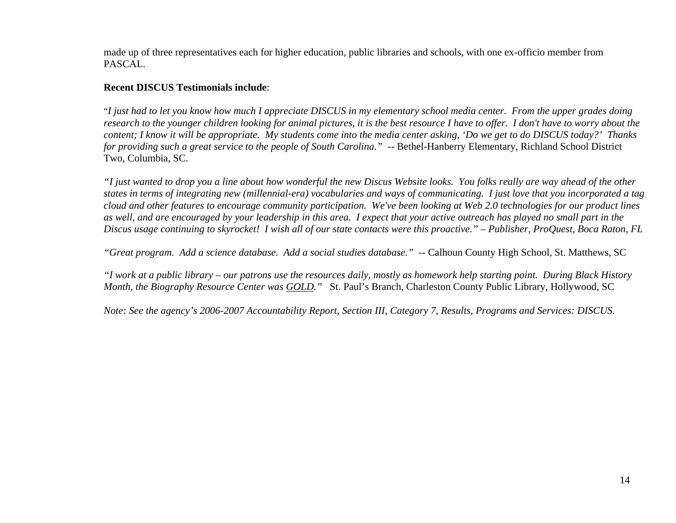made up of three representatives each for higher education, public libraries and schools, with one ex-officio member from PASCAL.

### **Recent DISCUS Testimonials include**:

"*I just had to let you know how much I appreciate DISCUS in my elementary school media center. From the upper grades doing research to the younger children looking for animal pictures, it is the best resource I have to offer. I don't have to worry about the content; I know it will be appropriate. My students come into the media center asking, 'Do we get to do DISCUS today?' Thanks for providing such a great service to the people of South Carolina.*" -- Bethel-Hanberry Elementary, Richland School District Two, Columbia, SC.

*"I just wanted to drop you a line about how wonderful the new Discus Website looks. You folks really are way ahead of the other states in terms of integrating new (millennial-era) vocabularies and ways of communicating. I just love that you incorporated a tag cloud and other features to encourage community participation. We've been looking at Web 2.0 technologies for our product lines as well, and are encouraged by your leadership in this area. I expect that your active outreach has played no small part in the Discus usage continuing to skyrocket! I wish all of our state contacts were this proactive." – Publisher, ProQuest, Boca Raton, FL* 

*"Great program. Add a science database. Add a social studies database."* -- Calhoun County High School, St. Matthews, SC

*"I work at a public library – our patrons use the resources daily, mostly as homework help starting point. During Black History Month, the Biography Resource Center was GOLD."* St. Paul's Branch, Charleston County Public Library, Hollywood, SC

*Note: See the agency's 2006-2007 Accountability Report, Section III, Category 7, Results, Programs and Services: DISCUS.*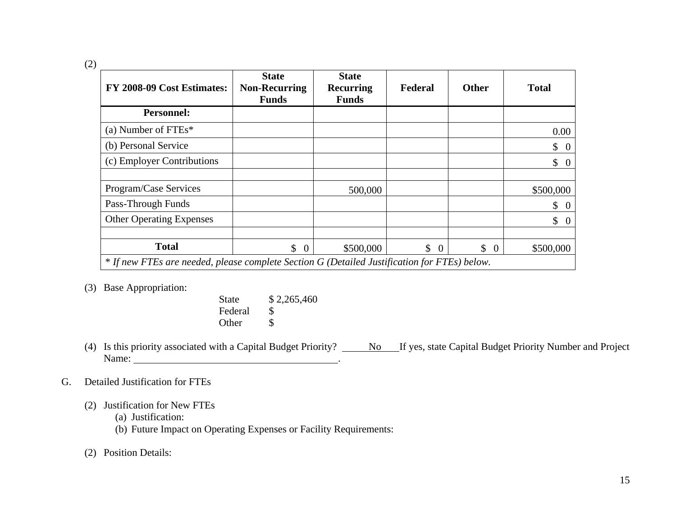(2)

| FY 2008-09 Cost Estimates:      | <b>State</b><br><b>Non-Recurring</b><br><b>Funds</b>                                         | <b>State</b><br><b>Recurring</b><br><b>Funds</b> | Federal                   | <b>Other</b>         | <b>Total</b>                     |  |  |  |
|---------------------------------|----------------------------------------------------------------------------------------------|--------------------------------------------------|---------------------------|----------------------|----------------------------------|--|--|--|
| <b>Personnel:</b>               |                                                                                              |                                                  |                           |                      |                                  |  |  |  |
| (a) Number of $FTEs*$           |                                                                                              |                                                  |                           |                      | 0.00                             |  |  |  |
| (b) Personal Service            |                                                                                              |                                                  |                           |                      | $\updownarrow$ 0                 |  |  |  |
| (c) Employer Contributions      |                                                                                              |                                                  |                           |                      | $\updownarrow$ 0                 |  |  |  |
|                                 |                                                                                              |                                                  |                           |                      |                                  |  |  |  |
| Program/Case Services           |                                                                                              | 500,000                                          |                           |                      | \$500,000                        |  |  |  |
| Pass-Through Funds              |                                                                                              |                                                  |                           |                      | \$<br>$\overline{0}$             |  |  |  |
| <b>Other Operating Expenses</b> |                                                                                              |                                                  |                           |                      | $\mathbb{S}^-$<br>$\overline{0}$ |  |  |  |
|                                 |                                                                                              |                                                  |                           |                      |                                  |  |  |  |
| <b>Total</b>                    | \$<br>$\overline{0}$                                                                         | \$500,000                                        | $\mathcal{S}$<br>$\Omega$ | \$<br>$\overline{0}$ | \$500,000                        |  |  |  |
|                                 | * If new FTEs are needed, please complete Section G (Detailed Justification for FTEs) below. |                                                  |                           |                      |                                  |  |  |  |

(3) Base Appropriation:

| <b>State</b> | \$2,265,460 |
|--------------|-------------|
| Federal      |             |
| Other        |             |

(4) Is this priority associated with a Capital Budget Priority?  $\underline{\hspace{1cm}}$  No If yes, state Capital Budget Priority Number and Project Name: the contract of the contract of the contract of the contract of the contract of the contract of the contract of the contract of the contract of the contract of the contract of the contract of the contract of the cont

## G. Detailed Justification for FTEs

- (2) Justification for New FTEs
	- (a) Justification:
	- (b) Future Impact on Operating Expenses or Facility Requirements:

(2) Position Details: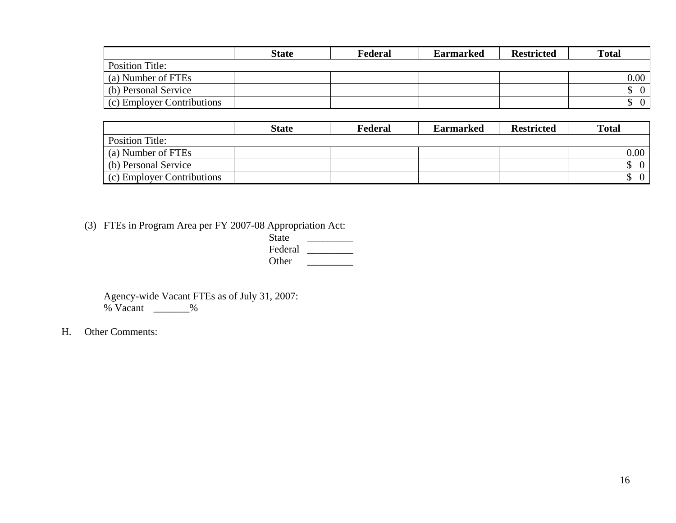|                            | <b>State</b> | Federal | <b>Earmarked</b> | <b>Restricted</b> | <b>Total</b> |
|----------------------------|--------------|---------|------------------|-------------------|--------------|
| <b>Position Title:</b>     |              |         |                  |                   |              |
| (a) Number of FTEs         |              |         |                  |                   | $0.00\,$     |
| (b) Personal Service       |              |         |                  |                   |              |
| (c) Employer Contributions |              |         |                  |                   |              |

|                            | <b>State</b> | Federal | <b>Earmarked</b> | <b>Restricted</b> | <b>Total</b>   |
|----------------------------|--------------|---------|------------------|-------------------|----------------|
| Position Title:            |              |         |                  |                   |                |
| (a) Number of FTEs         |              |         |                  |                   | $0.00\,$       |
| (b) Personal Service       |              |         |                  |                   | $\overline{0}$ |
| (c) Employer Contributions |              |         |                  |                   | $\Omega$       |

(3) FTEs in Program Area per FY 2007-08 Appropriation Act:

| $\sim$ $\sim$ | ັ | . . | $\mathbf{1}$ |
|---------------|---|-----|--------------|
|               |   |     | <b>State</b> |
|               |   |     | Federal      |
|               |   |     | Other        |

 Agency-wide Vacant FTEs as of July 31, 2007:  $%$  Vacant  $\_\_\_\_$ 

H. Other Comments: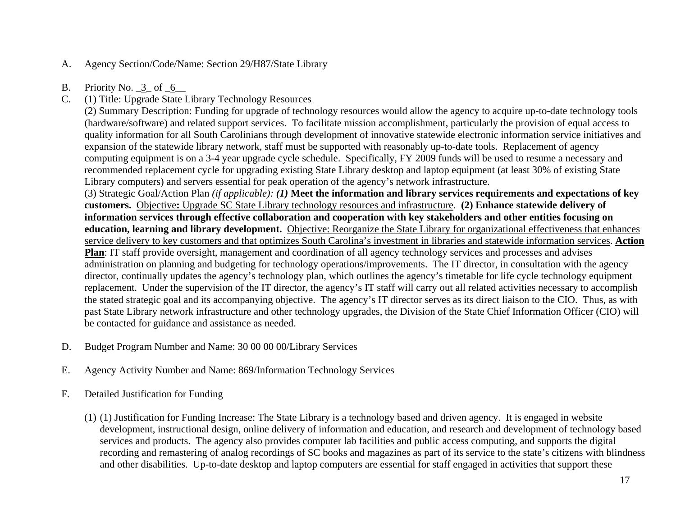- A. Agency Section/Code/Name: Section 29/H87/State Library
- B. Priority No.  $3$  of  $6$
- C. (1) Title: Upgrade State Library Technology Resources

(2) Summary Description: Funding for upgrade of technology resources would allow the agency to acquire up-to-date technology tools (hardware/software) and related support services. To facilitate mission accomplishment, particularly the provision of equal access to quality information for all South Carolinians through development of innovative statewide electronic information service initiatives and expansion of the statewide library network, staff must be supported with reasonably up-to-date tools. Replacement of agency computing equipment is on a 3-4 year upgrade cycle schedule. Specifically, FY 2009 funds will be used to resume a necessary and recommended replacement cycle for upgrading existing State Library desktop and laptop equipment (at least 30% of existing State Library computers) and servers essential for peak operation of the agency's network infrastructure.

(3) Strategic Goal/Action Plan *(if applicable): (1)* **Meet the information and library services requirements and expectations of key customers.** Objective**:** Upgrade SC State Library technology resources and infrastructure. **(2) Enhance statewide delivery of information services through effective collaboration and cooperation with key stakeholders and other entities focusing on education, learning and library development.** Objective: Reorganize the State Library for organizational effectiveness that enhances service delivery to key customers and that optimizes South Carolina's investment in libraries and statewide information services. **Action** 

**Plan**: IT staff provide oversight, management and coordination of all agency technology services and processes and advises administration on planning and budgeting for technology operations/improvements. The IT director, in consultation with the agency director, continually updates the agency's technology plan, which outlines the agency's timetable for life cycle technology equipment replacement. Under the supervision of the IT director, the agency's IT staff will carry out all related activities necessary to accomplish the stated strategic goal and its accompanying objective. The agency's IT director serves as its direct liaison to the CIO. Thus, as with past State Library network infrastructure and other technology upgrades, the Division of the State Chief Information Officer (CIO) will be contacted for guidance and assistance as needed.

- D. Budget Program Number and Name: 30 00 00 00/Library Services
- E. Agency Activity Number and Name: 869/Information Technology Services
- F. Detailed Justification for Funding
	- (1) (1) Justification for Funding Increase: The State Library is a technology based and driven agency. It is engaged in website development, instructional design, online delivery of information and education, and research and development of technology based services and products. The agency also provides computer lab facilities and public access computing, and supports the digital recording and remastering of analog recordings of SC books and magazines as part of its service to the state's citizens with blindness and other disabilities. Up-to-date desktop and laptop computers are essential for staff engaged in activities that support these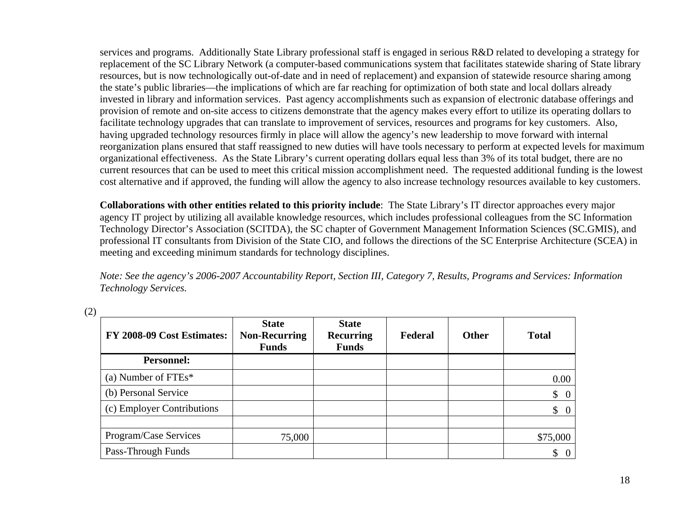services and programs. Additionally State Library professional staff is engaged in serious R&D related to developing a strategy for replacement of the SC Library Network (a computer-based communications system that facilitates statewide sharing of State library resources, but is now technologically out-of-date and in need of replacement) and expansion of statewide resource sharing among the state's public libraries—the implications of which are far reaching for optimization of both state and local dollars already invested in library and information services. Past agency accomplishments such as expansion of electronic database offerings and provision of remote and on-site access to citizens demonstrate that the agency makes every effort to utilize its operating dollars to facilitate technology upgrades that can translate to improvement of services, resources and programs for key customers. Also, having upgraded technology resources firmly in place will allow the agency's new leadership to move forward with internal reorganization plans ensured that staff reassigned to new duties will have tools necessary to perform at expected levels for maximum organizational effectiveness. As the State Library's current operating dollars equal less than 3% of its total budget, there are no current resources that can be used to meet this critical mission accomplishment need. The requested additional funding is the lowest cost alternative and if approved, the funding will allow the agency to also increase technology resources available to key customers.

**Collaborations with other entities related to this priority include**: The State Library's IT director approaches every major agency IT project by utilizing all available knowledge resources, which includes professional colleagues from the SC Information Technology Director's Association (SCITDA), the SC chapter of Government Management Information Sciences (SC.GMIS), and professional IT consultants from Division of the State CIO, and follows the directions of the SC Enterprise Architecture (SCEA) in meeting and exceeding minimum standards for technology disciplines.

*Note: See the agency's 2006-2007 Accountability Report, Section III, Category 7, Results, Programs and Services: Information Technology Services.*

| FY 2008-09 Cost Estimates: | <b>State</b><br><b>Non-Recurring</b><br><b>Funds</b> | <b>State</b><br><b>Recurring</b><br><b>Funds</b> | Federal | <b>Other</b> | <b>Total</b>                    |
|----------------------------|------------------------------------------------------|--------------------------------------------------|---------|--------------|---------------------------------|
| <b>Personnel:</b>          |                                                      |                                                  |         |              |                                 |
| (a) Number of $FTEs*$      |                                                      |                                                  |         |              | 0.00                            |
| (b) Personal Service       |                                                      |                                                  |         |              | $\begin{matrix} 0 \end{matrix}$ |
| (c) Employer Contributions |                                                      |                                                  |         |              | $\begin{matrix} 0 \end{matrix}$ |
|                            |                                                      |                                                  |         |              |                                 |
| Program/Case Services      | 75,000                                               |                                                  |         |              | \$75,000                        |
| Pass-Through Funds         |                                                      |                                                  |         |              | \$<br>- 0                       |

(2)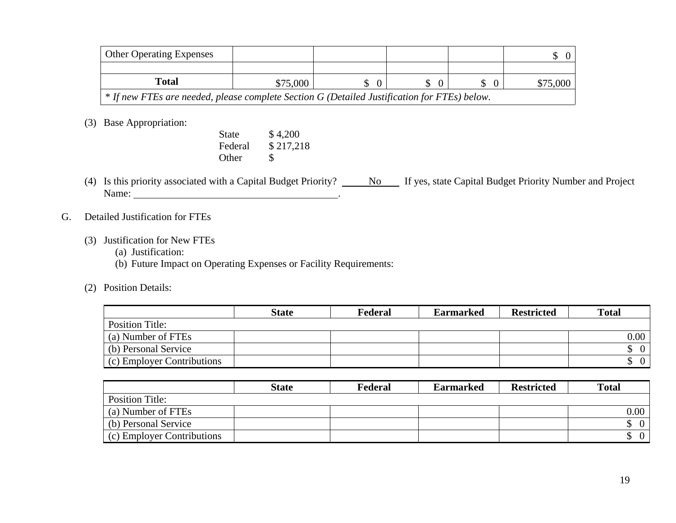| <b>Other Operating Expenses</b>                                                              |          |  |  |  |          |  |  |
|----------------------------------------------------------------------------------------------|----------|--|--|--|----------|--|--|
|                                                                                              |          |  |  |  |          |  |  |
| Total                                                                                        | \$75,000 |  |  |  | \$75,000 |  |  |
| * If new FTEs are needed, please complete Section G (Detailed Justification for FTEs) below. |          |  |  |  |          |  |  |

(3) Base Appropriation:

| State | \$4,200           |
|-------|-------------------|
|       | Federal \$217,218 |
| Other |                   |

- (4) Is this priority associated with a Capital Budget Priority?  $\underline{\hspace{1cm}}$  No If yes, state Capital Budget Priority Number and Project Name:  $\blacksquare$
- G. Detailed Justification for FTEs
	- (3) Justification for New FTEs
		- (a) Justification:
		- (b) Future Impact on Operating Expenses or Facility Requirements:
	- (2) Position Details:

|                            | <b>State</b> | Federal | <b>Earmarked</b> | <b>Restricted</b> | <b>Total</b> |
|----------------------------|--------------|---------|------------------|-------------------|--------------|
| Position Title:            |              |         |                  |                   |              |
| (a) Number of FTEs         |              |         |                  |                   | $0.00\,$     |
| (b) Personal Service       |              |         |                  |                   |              |
| (c) Employer Contributions |              |         |                  |                   |              |

|                                    | <b>State</b> | Federal | <b>Earmarked</b> | <b>Restricted</b> | <b>Total</b>      |
|------------------------------------|--------------|---------|------------------|-------------------|-------------------|
| <b>Position Title:</b>             |              |         |                  |                   |                   |
| (a) Number of FTEs                 |              |         |                  |                   | 0.00 <sub>1</sub> |
| (b) Personal Service               |              |         |                  |                   | 0 <sup>1</sup>    |
| $\vert$ (c) Employer Contributions |              |         |                  |                   | 0 <sup>1</sup>    |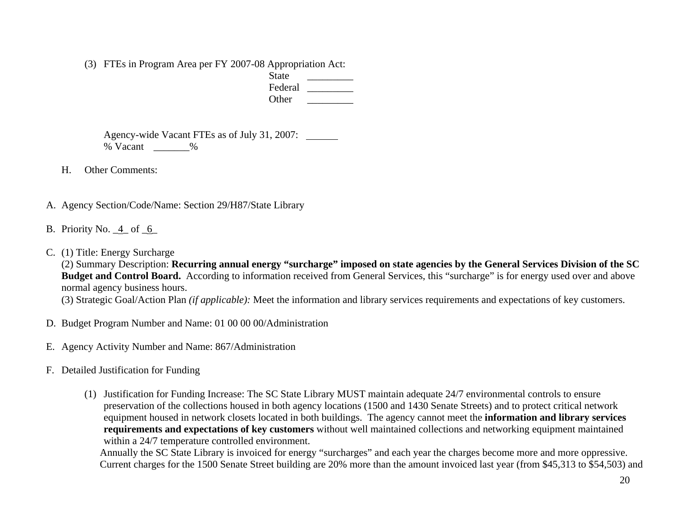(3) FTEs in Program Area per FY 2007-08 Appropriation Act:

| __ | <b>State</b> |     |
|----|--------------|-----|
|    | Federal      |     |
|    | Other        |     |
|    |              | ___ |

 Agency-wide Vacant FTEs as of July 31, 2007: % Vacant \_\_\_\_\_\_\_%

H. Other Comments:

- A. Agency Section/Code/Name: Section 29/H87/State Library
- B. Priority No.  $4$  of  $6$
- C. (1) Title: Energy Surcharge

(2) Summary Description: **Recurring annual energy "surcharge" imposed on state agencies by the General Services Division of the SC Budget and Control Board.** According to information received from General Services, this "surcharge" is for energy used over and above normal agency business hours.

(3) Strategic Goal/Action Plan *(if applicable):* Meet the information and library services requirements and expectations of key customers.

- D. Budget Program Number and Name: 01 00 00 00/Administration
- E. Agency Activity Number and Name: 867/Administration
- F. Detailed Justification for Funding
	- (1) Justification for Funding Increase: The SC State Library MUST maintain adequate 24/7 environmental controls to ensure preservation of the collections housed in both agency locations (1500 and 1430 Senate Streets) and to protect critical network equipment housed in network closets located in both buildings. The agency cannot meet the **information and library services requirements and expectations of key customers** without well maintained collections and networking equipment maintained within a 24/7 temperature controlled environment.

Annually the SC State Library is invoiced for energy "surcharges" and each year the charges become more and more oppressive. Current charges for the 1500 Senate Street building are 20% more than the amount invoiced last year (from \$45,313 to \$54,503) and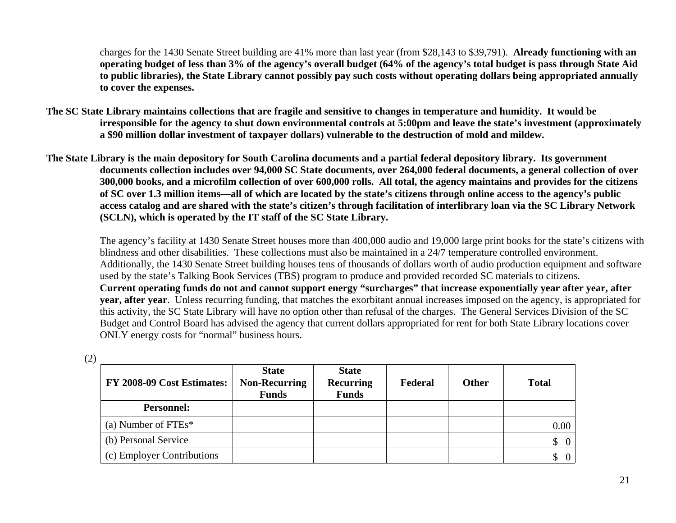charges for the 1430 Senate Street building are 41% more than last year (from \$28,143 to \$39,791). **Already functioning with an operating budget of less than 3% of the agency's overall budget (64% of the agency's total budget is pass through State Aid to public libraries), the State Library cannot possibly pay such costs without operating dollars being appropriated annually to cover the expenses.** 

- **The SC State Library maintains collections that are fragile and sensitive to changes in temperature and humidity. It would be irresponsible for the agency to shut down environmental controls at 5:00pm and leave the state's investment (approximately a \$90 million dollar investment of taxpayer dollars) vulnerable to the destruction of mold and mildew.**
- **The State Library is the main depository for South Carolina documents and a partial federal depository library. Its government documents collection includes over 94,000 SC State documents, over 264,000 federal documents, a general collection of over 300,000 books, and a microfilm collection of over 600,000 rolls. All total, the agency maintains and provides for the citizens of SC over 1.3 million items—all of which are located by the state's citizens through online access to the agency's public access catalog and are shared with the state's citizen's through facilitation of interlibrary loan via the SC Library Network (SCLN), which is operated by the IT staff of the SC State Library.**

The agency's facility at 1430 Senate Street houses more than 400,000 audio and 19,000 large print books for the state's citizens with blindness and other disabilities. These collections must also be maintained in a 24/7 temperature controlled environment. Additionally, the 1430 Senate Street building houses tens of thousands of dollars worth of audio production equipment and software used by the state's Talking Book Services (TBS) program to produce and provided recorded SC materials to citizens. **Current operating funds do not and cannot support energy "surcharges" that increase exponentially year after year, after year, after year**. Unless recurring funding, that matches the exorbitant annual increases imposed on the agency, is appropriated for this activity, the SC State Library will have no option other than refusal of the charges. The General Services Division of the SC Budget and Control Board has advised the agency that current dollars appropriated for rent for both State Library locations cover ONLY energy costs for "normal" business hours.

(2)

| FY 2008-09 Cost Estimates: | <b>State</b><br><b>Non-Recurring</b><br><b>Funds</b> | <b>State</b><br><b>Recurring</b><br><b>Funds</b> | Federal | <b>Other</b> | <b>Total</b>                    |
|----------------------------|------------------------------------------------------|--------------------------------------------------|---------|--------------|---------------------------------|
| <b>Personnel:</b>          |                                                      |                                                  |         |              |                                 |
| (a) Number of $FTEs^*$     |                                                      |                                                  |         |              | 0.00                            |
| (b) Personal Service       |                                                      |                                                  |         |              | $\updownarrow$ 0                |
| (c) Employer Contributions |                                                      |                                                  |         |              | $\begin{matrix} 0 \end{matrix}$ |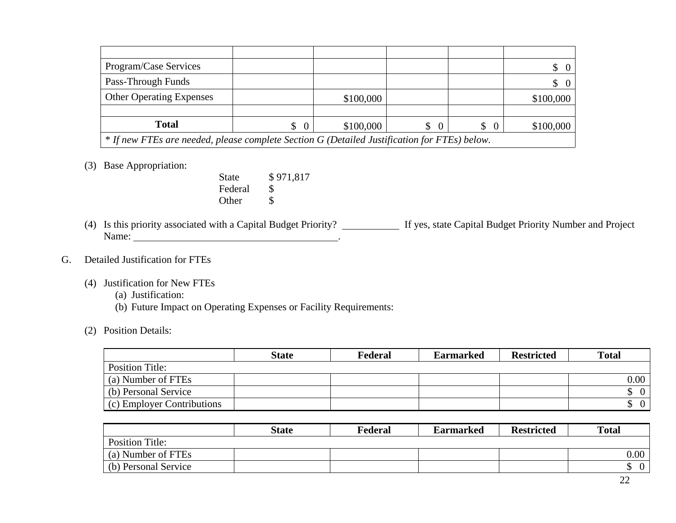| Program/Case Services                                                                        |                      |           |                            |                          | $\begin{matrix} 0 \end{matrix}$ |
|----------------------------------------------------------------------------------------------|----------------------|-----------|----------------------------|--------------------------|---------------------------------|
| Pass-Through Funds                                                                           |                      |           |                            |                          | $\begin{matrix} 0 \end{matrix}$ |
| <b>Other Operating Expenses</b>                                                              |                      | \$100,000 |                            |                          | \$100,000                       |
|                                                                                              |                      |           |                            |                          |                                 |
| <b>Total</b>                                                                                 | $\overline{0}$<br>\$ | \$100,000 | $\mathbb{S}^-$<br>$\Omega$ | <sup>S</sup><br>$\Omega$ | \$100,000                       |
| * If new FTEs are needed, please complete Section G (Detailed Justification for FTEs) below. |                      |           |                            |                          |                                 |

### (3) Base Appropriation:

State \$971,817 Federal \$ Other \$

(4) Is this priority associated with a Capital Budget Priority? If yes, state Capital Budget Priority Number and Project Name:  $\blacksquare$ 

#### G. Detailed Justification for FTEs

- (4) Justification for New FTEs
	- (a) Justification:
	- (b) Future Impact on Operating Expenses or Facility Requirements:
- (2) Position Details:

|                            | <b>State</b> | Federal | <b>Earmarked</b> | <b>Restricted</b> | <b>Total</b> |
|----------------------------|--------------|---------|------------------|-------------------|--------------|
| <b>Position Title:</b>     |              |         |                  |                   |              |
| (a) Number of FTEs         |              |         |                  |                   | 0.00         |
| (b) Personal Service       |              |         |                  |                   |              |
| (c) Employer Contributions |              |         |                  |                   |              |

|                        | <b>State</b> | Federal | <b>Earmarked</b> | <b>Restricted</b> | <b>Total</b> |
|------------------------|--------------|---------|------------------|-------------------|--------------|
| <b>Position Title:</b> |              |         |                  |                   |              |
| (a) Number of FTEs     |              |         |                  |                   | 0.00         |
| (b) Personal Service   |              |         |                  |                   |              |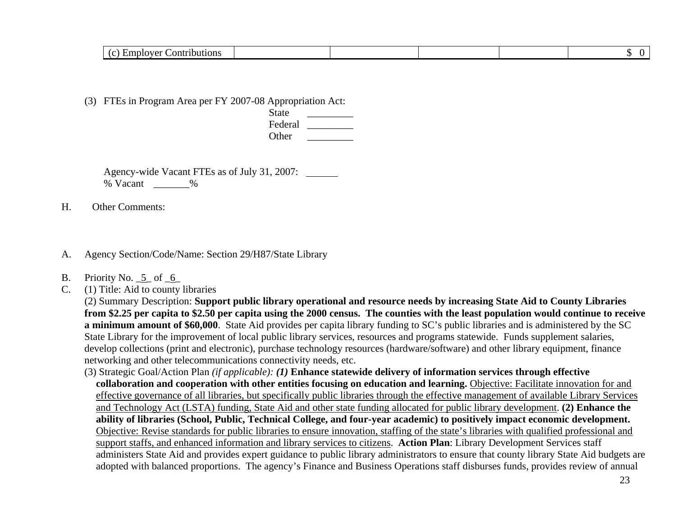| Contributions |
|---------------|
|---------------|

(3) FTEs in Program Area per FY 2007-08 Appropriation Act:

state the state of  $\overline{\mathcal{S}}$  state  $\overline{\mathcal{S}}$  Federal \_\_\_\_\_\_\_\_\_ Other  $\Box$ 

> Agency-wide Vacant FTEs as of July 31, 2007: % Vacant \_\_\_\_\_\_\_%

H. Other Comments:

A. Agency Section/Code/Name: Section 29/H87/State Library

- B. Priority No. 5 of 6
- C. (1) Title: Aid to county libraries

(2) Summary Description: **Support public library operational and resource needs by increasing State Aid to County Libraries from \$2.25 per capita to \$2.50 per capita using the 2000 census. The counties with the least population would continue to receive a minimum amount of \$60,000**. State Aid provides per capita library funding to SC's public libraries and is administered by the SC State Library for the improvement of local public library services, resources and programs statewide. Funds supplement salaries, develop collections (print and electronic), purchase technology resources (hardware/software) and other library equipment, finance networking and other telecommunications connectivity needs, etc.

 (3) Strategic Goal/Action Plan *(if applicable): (1)* **Enhance statewide delivery of information services through effective collaboration and cooperation with other entities focusing on education and learning.** Objective: Facilitate innovation for and effective governance of all libraries, but specifically public libraries through the effective management of available Library Services and Technology Act (LSTA) funding, State Aid and other state funding allocated for public library development. **(2) Enhance the ability of libraries (School, Public, Technical College, and four-year academic) to positively impact economic development.**  Objective: Revise standards for public libraries to ensure innovation, staffing of the state's libraries with qualified professional and support staffs, and enhanced information and library services to citizens. **Action Plan**: Library Development Services staff administers State Aid and provides expert guidance to public library administrators to ensure that county library State Aid budgets are adopted with balanced proportions. The agency's Finance and Business Operations staff disburses funds, provides review of annual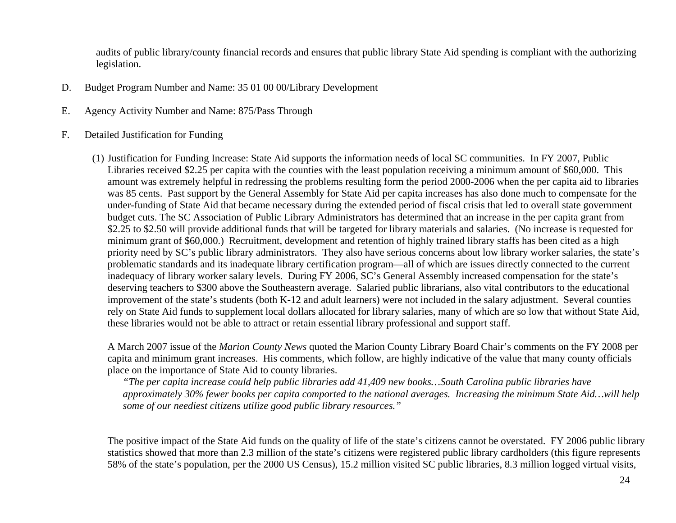audits of public library/county financial records and ensures that public library State Aid spending is compliant with the authorizing legislation.

- D. Budget Program Number and Name: 35 01 00 00/Library Development
- E. Agency Activity Number and Name: 875/Pass Through
- F. Detailed Justification for Funding
	- (1) Justification for Funding Increase: State Aid supports the information needs of local SC communities. In FY 2007, Public Libraries received \$2.25 per capita with the counties with the least population receiving a minimum amount of \$60,000. This amount was extremely helpful in redressing the problems resulting form the period 2000-2006 when the per capita aid to libraries was 85 cents. Past support by the General Assembly for State Aid per capita increases has also done much to compensate for the under-funding of State Aid that became necessary during the extended period of fiscal crisis that led to overall state government budget cuts. The SC Association of Public Library Administrators has determined that an increase in the per capita grant from \$2.25 to \$2.50 will provide additional funds that will be targeted for library materials and salaries. (No increase is requested for minimum grant of \$60,000.) Recruitment, development and retention of highly trained library staffs has been cited as a high priority need by SC's public library administrators. They also have serious concerns about low library worker salaries, the state's problematic standards and its inadequate library certification program—all of which are issues directly connected to the current inadequacy of library worker salary levels. During FY 2006, SC's General Assembly increased compensation for the state's deserving teachers to \$300 above the Southeastern average. Salaried public librarians, also vital contributors to the educational improvement of the state's students (both K-12 and adult learners) were not included in the salary adjustment. Several counties rely on State Aid funds to supplement local dollars allocated for library salaries, many of which are so low that without State Aid, these libraries would not be able to attract or retain essential library professional and support staff.

A March 2007 issue of the *Marion County News* quoted the Marion County Library Board Chair's comments on the FY 2008 per capita and minimum grant increases. His comments, which follow, are highly indicative of the value that many county officials place on the importance of State Aid to county libraries.

*"The per capita increase could help public libraries add 41,409 new books…South Carolina public libraries have approximately 30% fewer books per capita comported to the national averages. Increasing the minimum State Aid…will help some of our neediest citizens utilize good public library resources."* 

The positive impact of the State Aid funds on the quality of life of the state's citizens cannot be overstated. FY 2006 public library statistics showed that more than 2.3 million of the state's citizens were registered public library cardholders (this figure represents 58% of the state's population, per the 2000 US Census), 15.2 million visited SC public libraries, 8.3 million logged virtual visits,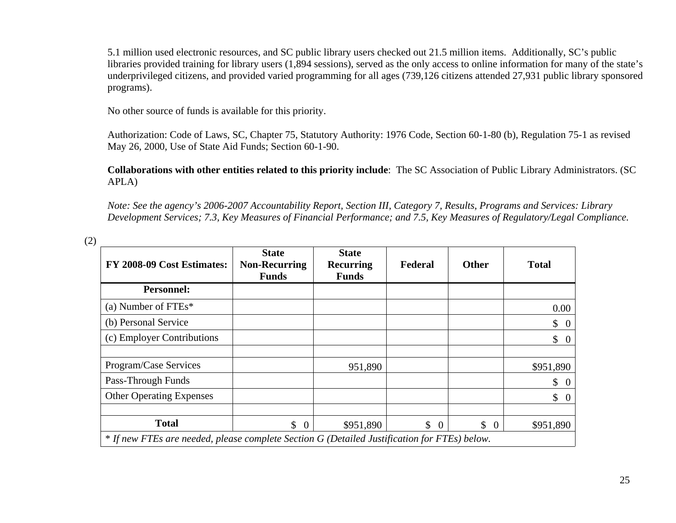5.1 million used electronic resources, and SC public library users checked out 21.5 million items. Additionally, SC's public libraries provided training for library users (1,894 sessions), served as the only access to online information for many of the state's underprivileged citizens, and provided varied programming for all ages (739,126 citizens attended 27,931 public library sponsored programs).

No other source of funds is available for this priority.

Authorization: Code of Laws, SC, Chapter 75, Statutory Authority: 1976 Code, Section 60-1-80 (b), Regulation 75-1 as revised May 26, 2000, Use of State Aid Funds; Section 60-1-90.

**Collaborations with other entities related to this priority include**: The SC Association of Public Library Administrators. (SC APLA)

*Note: See the agency's 2006-2007 Accountability Report, Section III, Category 7, Results, Programs and Services: Library Development Services; 7.3, Key Measures of Financial Performance; and 7.5, Key Measures of Regulatory/Legal Compliance.*

| FY 2008-09 Cost Estimates:                                                                   | <b>State</b><br><b>Non-Recurring</b><br><b>Funds</b> | <b>State</b><br><b>Recurring</b><br><b>Funds</b> | Federal        | <b>Other</b>                    | <b>Total</b>     |
|----------------------------------------------------------------------------------------------|------------------------------------------------------|--------------------------------------------------|----------------|---------------------------------|------------------|
| <b>Personnel:</b>                                                                            |                                                      |                                                  |                |                                 |                  |
| (a) Number of $FTEs*$                                                                        |                                                      |                                                  |                |                                 | $0.00\,$         |
| (b) Personal Service                                                                         |                                                      |                                                  |                |                                 | \$0              |
| (c) Employer Contributions                                                                   |                                                      |                                                  |                |                                 | \$0              |
|                                                                                              |                                                      |                                                  |                |                                 |                  |
| Program/Case Services                                                                        |                                                      | 951,890                                          |                |                                 | \$951,890        |
| Pass-Through Funds                                                                           |                                                      |                                                  |                |                                 | \$0              |
| <b>Other Operating Expenses</b>                                                              |                                                      |                                                  |                |                                 | $\updownarrow$ 0 |
|                                                                                              |                                                      |                                                  |                |                                 |                  |
| <b>Total</b>                                                                                 | $\mathcal{S}$<br>$\overline{0}$                      | \$951,890                                        | \$<br>$\Omega$ | $\begin{matrix} 0 \end{matrix}$ | \$951,890        |
| * If new FTEs are needed, please complete Section G (Detailed Justification for FTEs) below. |                                                      |                                                  |                |                                 |                  |

(2)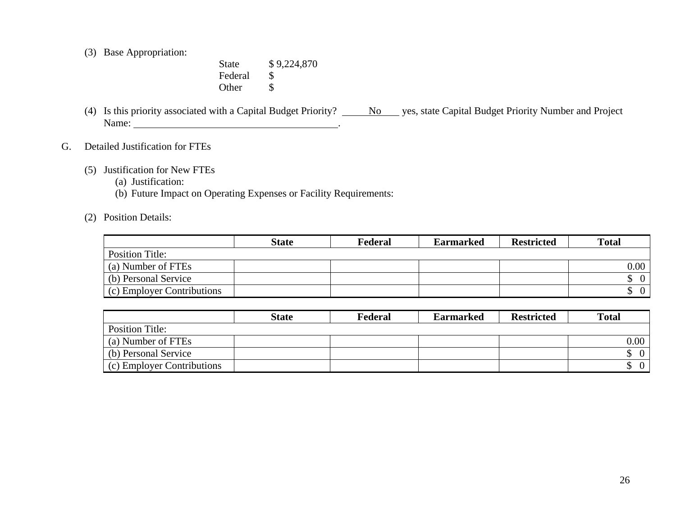(3) Base Appropriation:

State \$9,224,870 Federal \$ Other \$

- (4) Is this priority associated with a Capital Budget Priority?  $\underline{\qquad No\qquad}$  yes, state Capital Budget Priority Number and Project Name: the contract of the contract of the contract of the contract of the contract of the contract of the contract of the contract of the contract of the contract of the contract of the contract of the contract of the cont
- G. Detailed Justification for FTEs
	- (5) Justification for New FTEs
		- (a) Justification:
		- (b) Future Impact on Operating Expenses or Facility Requirements:
	- (2) Position Details:

|                            | <b>State</b> | Federal | <b>Earmarked</b> | <b>Restricted</b> | <b>Total</b>   |
|----------------------------|--------------|---------|------------------|-------------------|----------------|
| <b>Position Title:</b>     |              |         |                  |                   |                |
| (a) Number of FTEs         |              |         |                  |                   | $0.00\,$       |
| (b) Personal Service       |              |         |                  |                   | $\overline{0}$ |
| (c) Employer Contributions |              |         |                  |                   | $\overline{0}$ |

|                            | <b>State</b> | Federal | <b>Earmarked</b> | <b>Restricted</b> | <b>Total</b> |
|----------------------------|--------------|---------|------------------|-------------------|--------------|
| Position Title:            |              |         |                  |                   |              |
| (a) Number of FTEs         |              |         |                  |                   | $0.00\,$     |
| (b) Personal Service       |              |         |                  |                   |              |
| (c) Employer Contributions |              |         |                  |                   |              |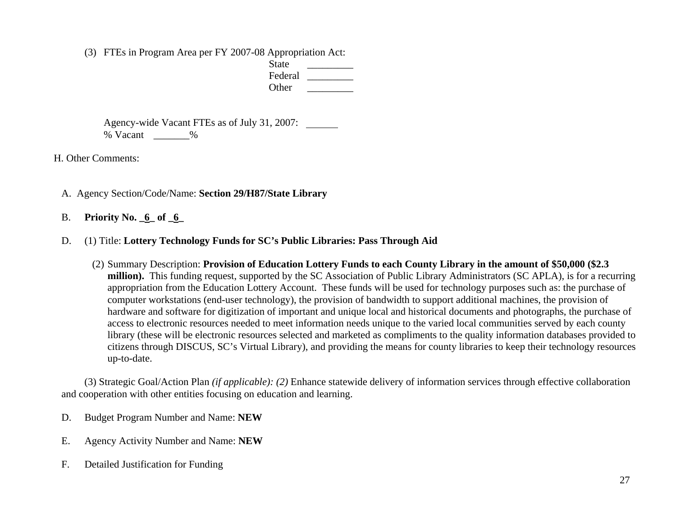(3) FTEs in Program Area per FY 2007-08 Appropriation Act:

| <b>State</b> |  |
|--------------|--|
| Federal      |  |
| Other        |  |

 Agency-wide Vacant FTEs as of July 31, 2007: % Vacant \_\_\_\_\_\_\_%

H. Other Comments:

- A. Agency Section/Code/Name: **Section 29/H87/State Library**
- B. **Priority No. \_6\_ of \_6 \_**
	- D. (1) Title: **Lottery Technology Funds for SC's Public Libraries: Pass Through Aid**
		- (2) Summary Description: **Provision of Education Lottery Funds to each County Library in the amount of \$50,000 (\$2.3 million).** This funding request, supported by the SC Association of Public Library Administrators (SC APLA), is for a recurring appropriation from the Education Lottery Account. These funds will be used for technology purposes such as: the purchase of computer workstations (end-user technology), the provision of bandwidth to support additional machines, the provision of hardware and software for digitization of important and unique local and historical documents and photographs, the purchase of access to electronic resources needed to meet information needs unique to the varied local communities served by each county library (these will be electronic resources selected and marketed as compliments to the quality information databases provided to citizens through DISCUS, SC's Virtual Library), and providing the means for county libraries to keep their technology resources up-to-date.

 (3) Strategic Goal/Action Plan *(if applicable): (2)* Enhance statewide delivery of information services through effective collaboration and cooperation with other entities focusing on education and learning.

- D. Budget Program Number and Name: **NEW**
- E. Agency Activity Number and Name: **NEW**
- F. Detailed Justification for Funding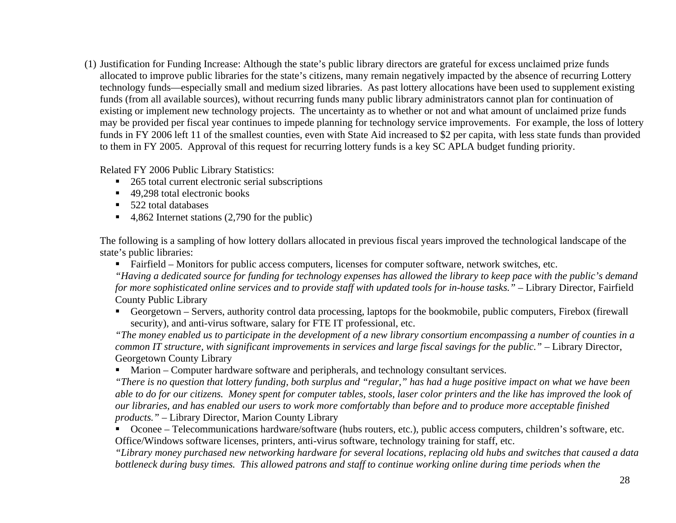(1) Justification for Funding Increase: Although the state's public library directors are grateful for excess unclaimed prize funds allocated to improve public libraries for the state's citizens, many remain negatively impacted by the absence of recurring Lottery technology funds—especially small and medium sized libraries. As past lottery allocations have been used to supplement existing funds (from all available sources), without recurring funds many public library administrators cannot plan for continuation of existing or implement new technology projects. The uncertainty as to whether or not and what amount of unclaimed prize funds may be provided per fiscal year continues to impede planning for technology service improvements. For example, the loss of lottery funds in FY 2006 left 11 of the smallest counties, even with State Aid increased to \$2 per capita, with less state funds than provided to them in FY 2005. Approval of this request for recurring lottery funds is a key SC APLA budget funding priority.

Related FY 2006 Public Library Statistics:

- 265 total current electronic serial subscriptions
- 49,298 total electronic books
- 522 total databases
- $\blacksquare$  4,862 Internet stations (2,790 for the public)

The following is a sampling of how lottery dollars allocated in previous fiscal years improved the technological landscape of the state's public libraries:

■ Fairfield – Monitors for public access computers, licenses for computer software, network switches, etc.

*"Having a dedicated source for funding for technology expenses has allowed the library to keep pace with the public's demand for more sophisticated online services and to provide staff with updated tools for in-house tasks.*" – Library Director, Fairfield County Public Library

 Georgetown – Servers, authority control data processing, laptops for the bookmobile, public computers, Firebox (firewall security), and anti-virus software, salary for FTE IT professional, etc.

*"The money enabled us to participate in the development of a new library consortium encompassing a number of counties in a common IT structure, with significant improvements in services and large fiscal savings for the public.*" – Library Director, Georgetown County Library

Marion – Computer hardware software and peripherals, and technology consultant services.

*"There is no question that lottery funding, both surplus and "regular," has had a huge positive impact on what we have been able to do for our citizens. Money spent for computer tables, stools, laser color printers and the like has improved the look of our libraries, and has enabled our users to work more comfortably than before and to produce more acceptable finished products." –* Library Director, Marion County Library

■ Oconee – Telecommunications hardware/software (hubs routers, etc.), public access computers, children's software, etc. Office/Windows software licenses, printers, anti-virus software, technology training for staff, etc.

*"Library money purchased new networking hardware for several locations, replacing old hubs and switches that caused a data*  bottleneck during busy times. This allowed patrons and staff to continue working online during time periods when the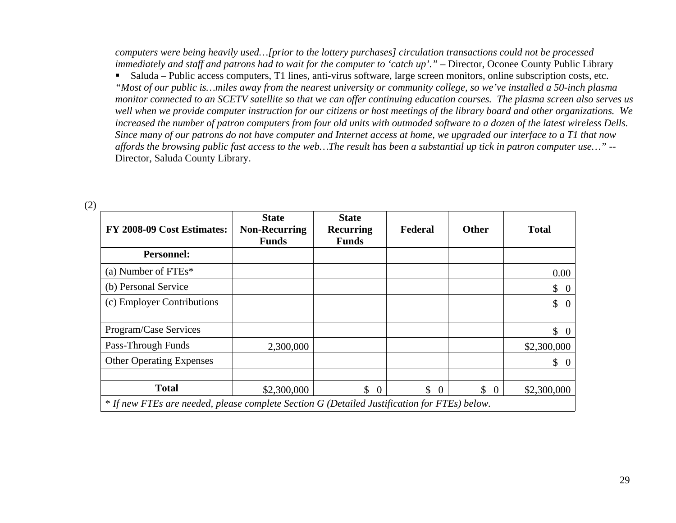*computers were being heavily used…[prior to the lottery purchases] circulation transactions could not be processed immediately and staff and patrons had to wait for the computer to 'catch up'.*" – Director, Oconee County Public Library

 Saluda – Public access computers, T1 lines, anti-virus software, large screen monitors, online subscription costs, etc. *"Most of our public is…miles away from the nearest university or community college, so we've installed a 50-inch plasma monitor connected to an SCETV satellite so that we can offer continuing education courses. The plasma screen also serves us well when we provide computer instruction for our citizens or host meetings of the library board and other organizations. We increased the number of patron computers from four old units with outmoded software to a dozen of the latest wireless Dells. Since many of our patrons do not have computer and Internet access at home, we upgraded our interface to a T1 that now affords the browsing public fast access to the web…The result has been a substantial up tick in patron computer use…" --*  Director, Saluda County Library.

| FY 2008-09 Cost Estimates:                                                                   | <b>State</b><br><b>Non-Recurring</b><br><b>Funds</b> | <b>State</b><br><b>Recurring</b><br><b>Funds</b> | Federal                  | <b>Other</b>                   | <b>Total</b>                   |
|----------------------------------------------------------------------------------------------|------------------------------------------------------|--------------------------------------------------|--------------------------|--------------------------------|--------------------------------|
| <b>Personnel:</b>                                                                            |                                                      |                                                  |                          |                                |                                |
| (a) Number of $FTEs^*$                                                                       |                                                      |                                                  |                          |                                | 0.00                           |
| (b) Personal Service                                                                         |                                                      |                                                  |                          |                                | \$<br>$\boldsymbol{0}$         |
| (c) Employer Contributions                                                                   |                                                      |                                                  |                          |                                | \$<br>$\theta$                 |
|                                                                                              |                                                      |                                                  |                          |                                |                                |
| Program/Case Services                                                                        |                                                      |                                                  |                          |                                | $\mathbb{S}$<br>$\overline{0}$ |
| Pass-Through Funds                                                                           | 2,300,000                                            |                                                  |                          |                                | \$2,300,000                    |
| <b>Other Operating Expenses</b>                                                              |                                                      |                                                  |                          |                                | \$<br>0                        |
|                                                                                              |                                                      |                                                  |                          |                                |                                |
| <b>Total</b>                                                                                 | \$2,300,000                                          | $\begin{matrix} 0 \end{matrix}$                  | $\mathbb{S}$<br>$\Omega$ | $\mathbb{S}$<br>$\overline{0}$ | \$2,300,000                    |
| * If new FTEs are needed, please complete Section G (Detailed Justification for FTEs) below. |                                                      |                                                  |                          |                                |                                |

(2)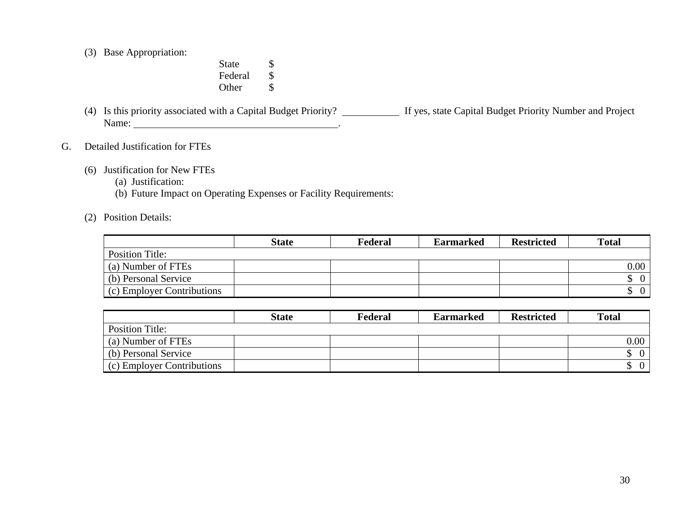(3) Base Appropriation:

State \$ Federal \$ Other \$

- (4) Is this priority associated with a Capital Budget Priority? If yes, state Capital Budget Priority Number and Project Name: the contract of the contract of the contract of the contract of the contract of the contract of the contract of the contract of the contract of the contract of the contract of the contract of the contract of the cont
- G. Detailed Justification for FTEs
	- (6) Justification for New FTEs
		- (a) Justification:
		- (b) Future Impact on Operating Expenses or Facility Requirements:
	- (2) Position Details:

|                            | <b>State</b> | Federal | <b>Earmarked</b> | <b>Restricted</b> | <b>Total</b>   |
|----------------------------|--------------|---------|------------------|-------------------|----------------|
| <b>Position Title:</b>     |              |         |                  |                   |                |
| (a) Number of FTEs         |              |         |                  |                   | $0.00\,$       |
| (b) Personal Service       |              |         |                  |                   | $\overline{0}$ |
| (c) Employer Contributions |              |         |                  |                   | $\overline{0}$ |

|                            | <b>State</b> | Federal | <b>Earmarked</b> | <b>Restricted</b> | <b>Total</b>   |
|----------------------------|--------------|---------|------------------|-------------------|----------------|
| Position Title:            |              |         |                  |                   |                |
| (a) Number of FTEs         |              |         |                  |                   | $0.00\,$ $\,$  |
| (b) Personal Service       |              |         |                  |                   | $\overline{0}$ |
| (c) Employer Contributions |              |         |                  |                   | $\overline{0}$ |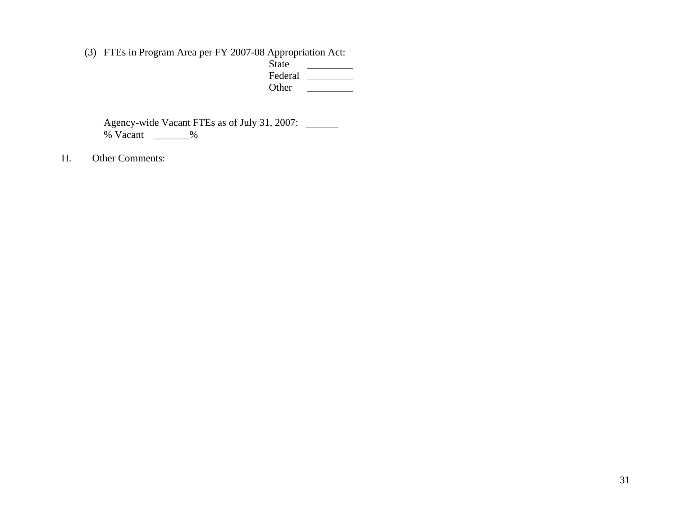(3) FTEs in Program Area per FY 2007-08 Appropriation Act:

 $\overline{\phantom{a}}$  Federal \_\_\_\_\_\_\_\_\_ Other \_\_\_\_\_\_\_\_\_

 Agency-wide Vacant FTEs as of July 31, 2007: % Vacant \_\_\_\_\_\_\_%

H. Other Comments: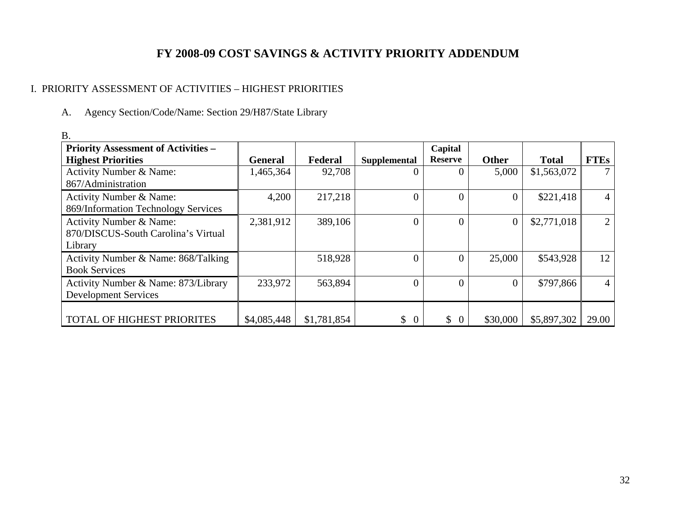# **FY 2008-09 COST SAVINGS & ACTIVITY PRIORITY ADDENDUM**

# I. PRIORITY ASSESSMENT OF ACTIVITIES – HIGHEST PRIORITIES

A. Agency Section/Code/Name: Section 29/H87/State Library

| D.                                                                        |                |             |                      |                           |                |              |                |
|---------------------------------------------------------------------------|----------------|-------------|----------------------|---------------------------|----------------|--------------|----------------|
| <b>Priority Assessment of Activities -</b><br><b>Highest Priorities</b>   | <b>General</b> | Federal     | Supplemental         | Capital<br><b>Reserve</b> | <b>Other</b>   | <b>Total</b> | <b>FTEs</b>    |
| Activity Number & Name:<br>867/Administration                             | 1,465,364      | 92,708      | $\Omega$             | $\Omega$                  | 5,000          | \$1,563,072  | $\tau$         |
| Activity Number & Name:<br>869/Information Technology Services            | 4,200          | 217,218     | $\overline{0}$       | $\overline{0}$            | $\Omega$       | \$221,418    | $\overline{4}$ |
| Activity Number & Name:<br>870/DISCUS-South Carolina's Virtual<br>Library | 2,381,912      | 389,106     | $\overline{0}$       | $\overline{0}$            | $\overline{0}$ | \$2,771,018  | 2              |
| Activity Number & Name: 868/Talking<br><b>Book Services</b>               |                | 518,928     | $\overline{0}$       | $\overline{0}$            | 25,000         | \$543,928    | 12             |
| Activity Number & Name: 873/Library<br><b>Development Services</b>        | 233,972        | 563,894     | $\overline{0}$       | $\overline{0}$            |                | \$797,866    | $\overline{4}$ |
| TOTAL OF HIGHEST PRIORITES                                                | \$4,085,448    | \$1,781,854 | \$<br>$\overline{0}$ | \$<br>$\overline{0}$      | \$30,000       | \$5,897,302  | 29.00          |

B.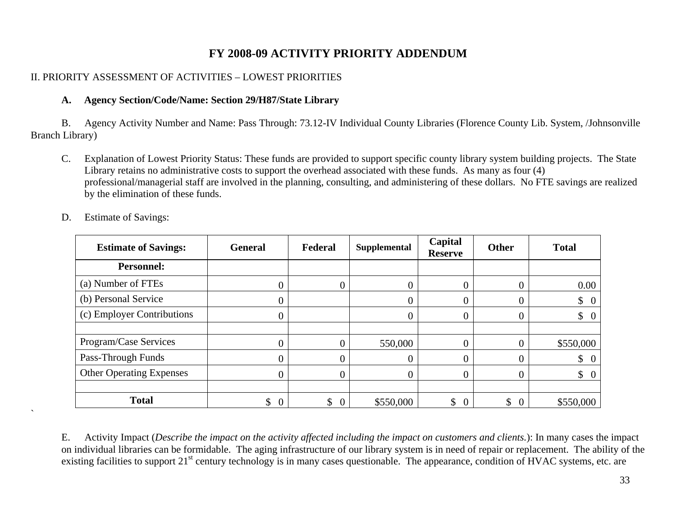# **FY 2008-09 ACTIVITY PRIORITY ADDENDUM**

# II. PRIORITY ASSESSMENT OF ACTIVITIES – LOWEST PRIORITIES

## **A. Agency Section/Code/Name: Section 29/H87/State Library**

 B. Agency Activity Number and Name: Pass Through: 73.12-IV Individual County Libraries (Florence County Lib. System, /Johnsonville Branch Library)

C. Explanation of Lowest Priority Status: These funds are provided to support specific county library system building projects. The State Library retains no administrative costs to support the overhead associated with these funds. As many as four (4) professional/managerial staff are involved in the planning, consulting, and administering of these dollars. No FTE savings are realized by the elimination of these funds.

| <b>Estimate of Savings:</b>     | <b>General</b>       | Federal | <b>Supplemental</b> | Capital<br><b>Reserve</b> | <b>Other</b>   | <b>Total</b>     |
|---------------------------------|----------------------|---------|---------------------|---------------------------|----------------|------------------|
| <b>Personnel:</b>               |                      |         |                     |                           |                |                  |
| (a) Number of FTEs              | 0                    |         |                     | $\overline{0}$            |                | $0.00\,$         |
| (b) Personal Service            | $\overline{0}$       |         | 0                   | $\overline{0}$            | $\Omega$       | $\updownarrow$ 0 |
| (c) Employer Contributions      | $\overline{0}$       |         |                     | 0                         |                | $\$\ 0$          |
|                                 |                      |         |                     |                           |                |                  |
| Program/Case Services           | $\overline{0}$       | 0       | 550,000             | $\overline{0}$            |                | \$550,000        |
| Pass-Through Funds              | $\overline{0}$       |         |                     | 0                         |                | $\updownarrow$ 0 |
| <b>Other Operating Expenses</b> | 0                    | 0       | 0                   | $\theta$                  | $\Omega$       | $\updownarrow$ 0 |
|                                 |                      |         |                     |                           |                |                  |
| <b>Total</b>                    | \$<br>$\overline{0}$ | \$<br>0 | \$550,000           | \$<br>$\mathbf{0}$        | \$<br>$\theta$ | \$550,000        |

D. Estimate of Savings:

 $\ddot{\phantom{0}}$ 

 E. Activity Impact (*Describe the impact on the activity affected including the impact on customers and clients.*): In many cases the impact on individual libraries can be formidable. The aging infrastructure of our library system is in need of repair or replacement. The ability of the existing facilities to support 21<sup>st</sup> century technology is in many cases questionable. The appearance, condition of HVAC systems, etc. are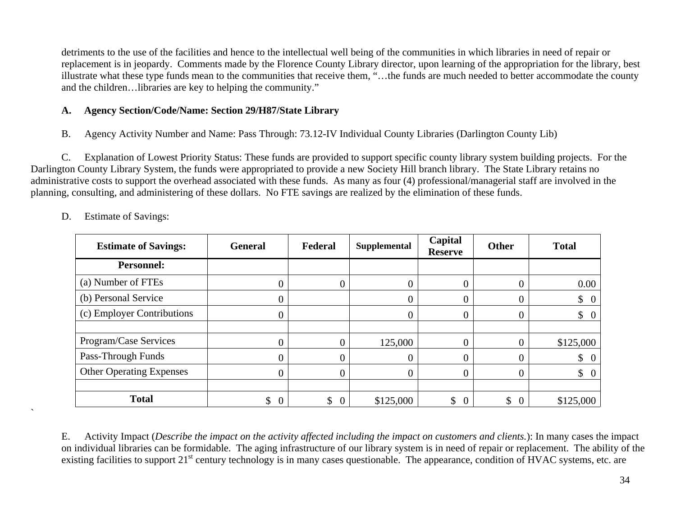detriments to the use of the facilities and hence to the intellectual well being of the communities in which libraries in need of repair or replacement is in jeopardy. Comments made by the Florence County Library director, upon learning of the appropriation for the library, best illustrate what these type funds mean to the communities that receive them, "…the funds are much needed to better accommodate the county and the children…libraries are key to helping the community."

## **A. Agency Section/Code/Name: Section 29/H87/State Library**

B. Agency Activity Number and Name: Pass Through: 73.12-IV Individual County Libraries (Darlington County Lib)

 C. Explanation of Lowest Priority Status: These funds are provided to support specific county library system building projects. For the Darlington County Library System, the funds were appropriated to provide a new Society Hill branch library. The State Library retains no administrative costs to support the overhead associated with these funds. As many as four (4) professional/managerial staff are involved in the planning, consulting, and administering of these dollars. No FTE savings are realized by the elimination of these funds.

| <b>Estimate of Savings:</b>     | <b>General</b>       | Federal | <b>Supplemental</b> | Capital<br><b>Reserve</b> | Other | <b>Total</b>                    |
|---------------------------------|----------------------|---------|---------------------|---------------------------|-------|---------------------------------|
| <b>Personnel:</b>               |                      |         |                     |                           |       |                                 |
| (a) Number of FTEs              |                      |         | 0                   |                           |       | 0.00                            |
| (b) Personal Service            | 0                    |         | 0                   | 0                         |       | $\updownarrow$ 0                |
| (c) Employer Contributions      | 0                    |         | 0                   | 0                         |       | $\updownarrow$ 0                |
|                                 |                      |         |                     |                           |       |                                 |
| Program/Case Services           | 0                    |         | 125,000             |                           |       | \$125,000                       |
| Pass-Through Funds              | 0                    |         | 0                   |                           |       | $\updownarrow$ 0                |
| <b>Other Operating Expenses</b> | 0                    |         | 0                   | 0                         |       | $\begin{matrix} 0 \end{matrix}$ |
|                                 |                      |         |                     |                           |       |                                 |
| <b>Total</b>                    | \$<br>$\overline{0}$ | \$      | \$125,000           | \$<br>$\overline{0}$      | \$    | \$125,000                       |

D. Estimate of Savings:

 $\overline{\phantom{a}}$ 

 E. Activity Impact (*Describe the impact on the activity affected including the impact on customers and clients.*): In many cases the impact on individual libraries can be formidable. The aging infrastructure of our library system is in need of repair or replacement. The ability of the existing facilities to support 21<sup>st</sup> century technology is in many cases questionable. The appearance, condition of HVAC systems, etc. are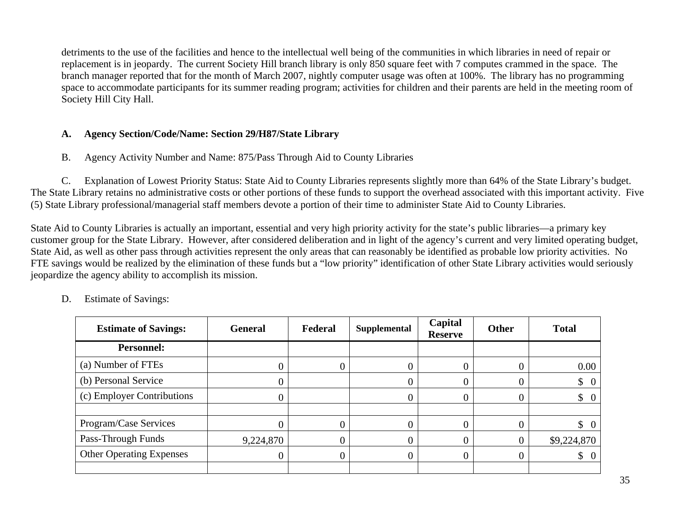detriments to the use of the facilities and hence to the intellectual well being of the communities in which libraries in need of repair or replacement is in jeopardy. The current Society Hill branch library is only 850 square feet with 7 computes crammed in the space. The branch manager reported that for the month of March 2007, nightly computer usage was often at 100%. The library has no programming space to accommodate participants for its summer reading program; activities for children and their parents are held in the meeting room of Society Hill City Hall.

## **A. Agency Section/Code/Name: Section 29/H87/State Library**

B. Agency Activity Number and Name: 875/Pass Through Aid to County Libraries

 C. Explanation of Lowest Priority Status: State Aid to County Libraries represents slightly more than 64% of the State Library's budget. The State Library retains no administrative costs or other portions of these funds to support the overhead associated with this important activity. Five (5) State Library professional/managerial staff members devote a portion of their time to administer State Aid to County Libraries.

State Aid to County Libraries is actually an important, essential and very high priority activity for the state's public libraries—a primary key customer group for the State Library. However, after considered deliberation and in light of the agency's current and very limited operating budget, State Aid, as well as other pass through activities represent the only areas that can reasonably be identified as probable low priority activities. No FTE savings would be realized by the elimination of these funds but a "low priority" identification of other State Library activities would seriously jeopardize the agency ability to accomplish its mission.

| <b>Estimate of Savings:</b>     | <b>General</b> | Federal        | Supplemental   | Capital<br><b>Reserve</b> | <b>Other</b> | <b>Total</b>     |
|---------------------------------|----------------|----------------|----------------|---------------------------|--------------|------------------|
| <b>Personnel:</b>               |                |                |                |                           |              |                  |
| (a) Number of FTEs              |                | 0              | $\Omega$       | 0                         |              | 0.00             |
| (b) Personal Service            |                |                | 0              |                           |              | $\updownarrow$ 0 |
| (c) Employer Contributions      |                |                | $\overline{0}$ |                           |              | $\updownarrow$ 0 |
|                                 |                |                |                |                           |              |                  |
| Program/Case Services           |                | $\overline{0}$ | $\theta$       |                           |              | $\updownarrow$ 0 |
| Pass-Through Funds              | 9,224,870      | 0              | $\overline{0}$ | 0                         |              | \$9,224,870      |
| <b>Other Operating Expenses</b> |                | $\overline{0}$ | $\Omega$       | 0                         |              | $\updownarrow$ 0 |
|                                 |                |                |                |                           |              |                  |

D. Estimate of Savings: